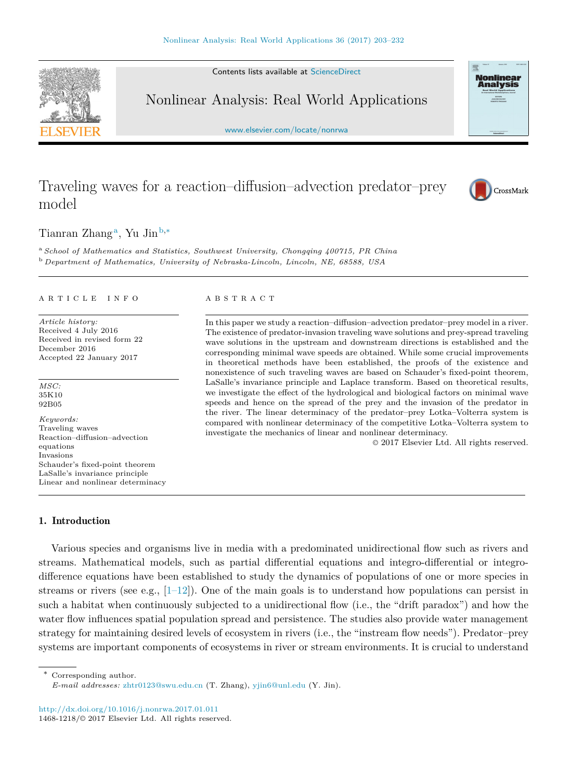Contents lists available at [ScienceDirect](http://www.sciencedirect.com)

Nonlinear Analysis: Real World Applications

[www.elsevier.com/locate/nonrwa](http://www.elsevier.com/locate/nonrwa)

# Traveling waves for a reaction–diffusion–advection predator–prey model

Ti[a](#page-0-0)nran Zhang<sup>a</sup>, Yu Jin<sup>[b,](#page-0-1)[∗](#page-0-2)</sup>

<span id="page-0-1"></span><span id="page-0-0"></span><sup>a</sup> *School of Mathematics and Statistics, Southwest University, Chongqing 400715, PR China* <sup>b</sup> *Department of Mathematics, University of Nebraska-Lincoln, Lincoln, NE, 68588, USA*

#### a r t i c l e i n f o

*Article history:* Received 4 July 2016 Received in revised form 22 December 2016 Accepted 22 January 2017

*MSC:* 35K10 92B05

*Keywords:* Traveling waves Reaction–diffusion–advection equations Invasions Schauder's fixed-point theorem LaSalle's invariance principle Linear and nonlinear determinacy

# A B S T R A C T

In this paper we study a reaction–diffusion–advection predator–prey model in a river. The existence of predator-invasion traveling wave solutions and prey-spread traveling wave solutions in the upstream and downstream directions is established and the corresponding minimal wave speeds are obtained. While some crucial improvements in theoretical methods have been established, the proofs of the existence and nonexistence of such traveling waves are based on Schauder's fixed-point theorem, LaSalle's invariance principle and Laplace transform. Based on theoretical results, we investigate the effect of the hydrological and biological factors on minimal wave speeds and hence on the spread of the prey and the invasion of the predator in the river. The linear determinacy of the predator–prey Lotka–Volterra system is compared with nonlinear determinacy of the competitive Lotka–Volterra system to investigate the mechanics of linear and nonlinear determinacy.

© 2017 Elsevier Ltd. All rights reserved.

# 1. Introduction

Various species and organisms live in media with a predominated unidirectional flow such as rivers and streams. Mathematical models, such as partial differential equations and integro-differential or integrodifference equations have been established to study the dynamics of populations of one or more species in streams or rivers (see e.g.,  $[1-12]$ ). One of the main goals is to understand how populations can persist in such a habitat when continuously subjected to a unidirectional flow (i.e., the "drift paradox") and how the water flow influences spatial population spread and persistence. The studies also provide water management strategy for maintaining desired levels of ecosystem in rivers (i.e., the "instream flow needs"). Predator–prey systems are important components of ecosystems in river or stream environments. It is crucial to understand

<span id="page-0-2"></span>Corresponding author.

<http://dx.doi.org/10.1016/j.nonrwa.2017.01.011> 1468-1218/© 2017 Elsevier Ltd. All rights reserved.







*E-mail addresses:* [zhtr0123@swu.edu.cn](mailto:zhtr0123@swu.edu.cn) (T. Zhang), [yjin6@unl.edu](mailto:yjin6@unl.edu) (Y. Jin).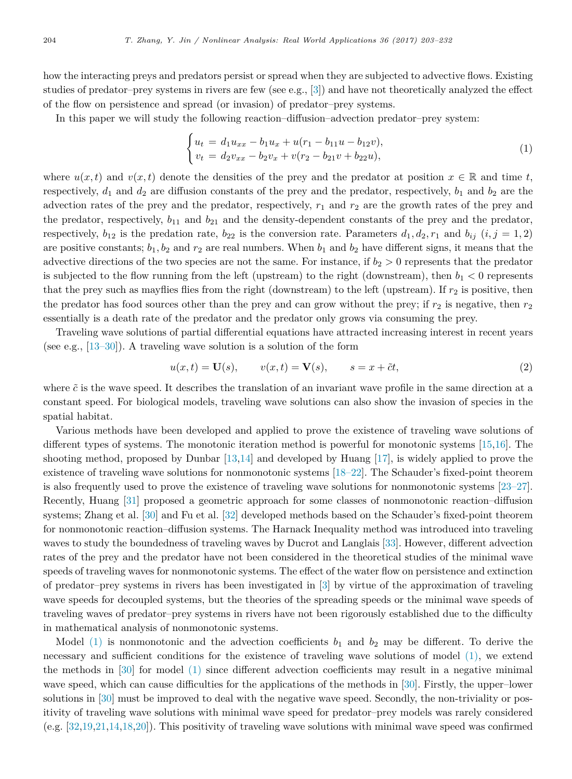how the interacting preys and predators persist or spread when they are subjected to advective flows. Existing studies of predator–prey systems in rivers are few (see e.g., [\[3\]](#page-27-1)) and have not theoretically analyzed the effect of the flow on persistence and spread (or invasion) of predator–prey systems.

In this paper we will study the following reaction–diffusion–advection predator–prey system:

<span id="page-1-0"></span>
$$
\begin{cases} u_t = d_1 u_{xx} - b_1 u_x + u(r_1 - b_{11}u - b_{12}v), \\ v_t = d_2 v_{xx} - b_2 v_x + v(r_2 - b_{21}v + b_{22}u), \end{cases} \tag{1}
$$

where  $u(x, t)$  and  $v(x, t)$  denote the densities of the prey and the predator at position  $x \in \mathbb{R}$  and time *t*, respectively,  $d_1$  and  $d_2$  are diffusion constants of the prey and the predator, respectively,  $b_1$  and  $b_2$  are the advection rates of the prey and the predator, respectively,  $r_1$  and  $r_2$  are the growth rates of the prey and the predator, respectively,  $b_{11}$  and  $b_{21}$  and the density-dependent constants of the prey and the predator, respectively,  $b_{12}$  is the predation rate,  $b_{22}$  is the conversion rate. Parameters  $d_1, d_2, r_1$  and  $b_{ij}$   $(i, j = 1, 2)$ are positive constants;  $b_1, b_2$  and  $r_2$  are real numbers. When  $b_1$  and  $b_2$  have different signs, it means that the advective directions of the two species are not the same. For instance, if  $b_2 > 0$  represents that the predator is subjected to the flow running from the left (upstream) to the right (downstream), then  $b_1 < 0$  represents that the prey such as mayflies flies from the right (downstream) to the left (upstream). If  $r_2$  is positive, then the predator has food sources other than the prey and can grow without the prey; if  $r_2$  is negative, then  $r_2$ essentially is a death rate of the predator and the predator only grows via consuming the prey.

Traveling wave solutions of partial differential equations have attracted increasing interest in recent years (see e.g., [\[13–30\]](#page-28-0)). A traveling wave solution is a solution of the form

<span id="page-1-1"></span>
$$
u(x,t) = \mathbf{U}(s), \qquad v(x,t) = \mathbf{V}(s), \qquad s = x + \tilde{c}t,
$$
\n<sup>(2)</sup>

where  $\tilde{c}$  is the wave speed. It describes the translation of an invariant wave profile in the same direction at a constant speed. For biological models, traveling wave solutions can also show the invasion of species in the spatial habitat.

Various methods have been developed and applied to prove the existence of traveling wave solutions of different types of systems. The monotonic iteration method is powerful for monotonic systems [\[15,](#page-28-1)[16\]](#page-28-2). The shooting method, proposed by Dunbar [\[13,](#page-28-0)[14\]](#page-28-3) and developed by Huang [\[17\]](#page-28-4), is widely applied to prove the existence of traveling wave solutions for nonmonotonic systems [\[18–22\]](#page-28-5). The Schauder's fixed-point theorem is also frequently used to prove the existence of traveling wave solutions for nonmonotonic systems [\[23–27\]](#page-28-6). Recently, Huang [\[31\]](#page-28-7) proposed a geometric approach for some classes of nonmonotonic reaction–diffusion systems; Zhang et al. [\[30\]](#page-28-8) and Fu et al. [\[32\]](#page-28-9) developed methods based on the Schauder's fixed-point theorem for nonmonotonic reaction–diffusion systems. The Harnack Inequality method was introduced into traveling waves to study the boundedness of traveling waves by Ducrot and Langlais [\[33\]](#page-28-10). However, different advection rates of the prey and the predator have not been considered in the theoretical studies of the minimal wave speeds of traveling waves for nonmonotonic systems. The effect of the water flow on persistence and extinction of predator–prey systems in rivers has been investigated in [\[3\]](#page-27-1) by virtue of the approximation of traveling wave speeds for decoupled systems, but the theories of the spreading speeds or the minimal wave speeds of traveling waves of predator–prey systems in rivers have not been rigorously established due to the difficulty in mathematical analysis of nonmonotonic systems.

Model  $(1)$  is nonmonotonic and the advection coefficients  $b_1$  and  $b_2$  may be different. To derive the necessary and sufficient conditions for the existence of traveling wave solutions of model [\(1\),](#page-1-0) we extend the methods in [\[30\]](#page-28-8) for model [\(1\)](#page-1-0) since different advection coefficients may result in a negative minimal wave speed, which can cause difficulties for the applications of the methods in [\[30\]](#page-28-8). Firstly, the upper–lower solutions in [\[30\]](#page-28-8) must be improved to deal with the negative wave speed. Secondly, the non-triviality or positivity of traveling wave solutions with minimal wave speed for predator–prey models was rarely considered (e.g. [\[32,](#page-28-9)[19](#page-28-11)[,21,](#page-28-12)[14](#page-28-3)[,18](#page-28-5)[,20\]](#page-28-13)). This positivity of traveling wave solutions with minimal wave speed was confirmed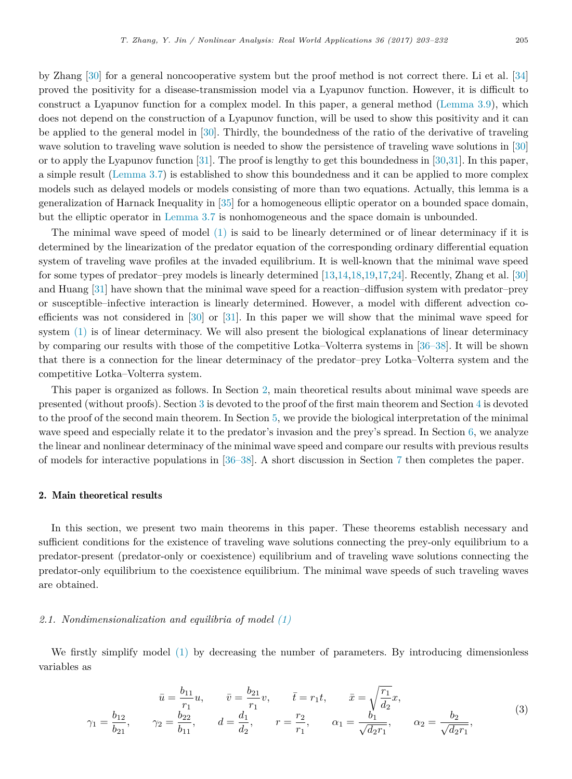by Zhang [\[30\]](#page-28-8) for a general noncooperative system but the proof method is not correct there. Li et al. [\[34\]](#page-28-14) proved the positivity for a disease-transmission model via a Lyapunov function. However, it is difficult to construct a Lyapunov function for a complex model. In this paper, a general method [\(Lemma 3.9\)](#page-13-0), which does not depend on the construction of a Lyapunov function, will be used to show this positivity and it can be applied to the general model in [\[30\]](#page-28-8). Thirdly, the boundedness of the ratio of the derivative of traveling wave solution to traveling wave solution is needed to show the persistence of traveling wave solutions in [\[30\]](#page-28-8) or to apply the Lyapunov function [\[31\]](#page-28-7). The proof is lengthy to get this boundedness in [\[30,](#page-28-8)[31\]](#page-28-7). In this paper, a simple result [\(Lemma 3.7\)](#page-11-0) is established to show this boundedness and it can be applied to more complex models such as delayed models or models consisting of more than two equations. Actually, this lemma is a generalization of Harnack Inequality in [\[35\]](#page-28-15) for a homogeneous elliptic operator on a bounded space domain, but the elliptic operator in [Lemma 3.7](#page-11-0) is nonhomogeneous and the space domain is unbounded.

The minimal wave speed of model [\(1\)](#page-1-0) is said to be linearly determined or of linear determinacy if it is determined by the linearization of the predator equation of the corresponding ordinary differential equation system of traveling wave profiles at the invaded equilibrium. It is well-known that the minimal wave speed for some types of predator–prey models is linearly determined [\[13,](#page-28-0)[14](#page-28-3)[,18,](#page-28-5)[19,](#page-28-11)[17,](#page-28-4)[24\]](#page-28-16). Recently, Zhang et al. [\[30\]](#page-28-8) and Huang [\[31\]](#page-28-7) have shown that the minimal wave speed for a reaction–diffusion system with predator–prey or susceptible–infective interaction is linearly determined. However, a model with different advection coefficients was not considered in [\[30\]](#page-28-8) or [\[31\]](#page-28-7). In this paper we will show that the minimal wave speed for system [\(1\)](#page-1-0) is of linear determinacy. We will also present the biological explanations of linear determinacy by comparing our results with those of the competitive Lotka–Volterra systems in [\[36–38\]](#page-28-17). It will be shown that there is a connection for the linear determinacy of the predator–prey Lotka–Volterra system and the competitive Lotka–Volterra system.

This paper is organized as follows. In Section [2,](#page-2-0) main theoretical results about minimal wave speeds are presented (without proofs). Section [3](#page-5-0) is devoted to the proof of the first main theorem and Section [4](#page-17-0) is devoted to the proof of the second main theorem. In Section [5,](#page-19-0) we provide the biological interpretation of the minimal wave speed and especially relate it to the predator's invasion and the prey's spread. In Section [6,](#page-23-0) we analyze the linear and nonlinear determinacy of the minimal wave speed and compare our results with previous results of models for interactive populations in [\[36–38\]](#page-28-17). A short discussion in Section [7](#page-26-0) then completes the paper.

#### <span id="page-2-0"></span>2. Main theoretical results

In this section, we present two main theorems in this paper. These theorems establish necessary and sufficient conditions for the existence of traveling wave solutions connecting the prey-only equilibrium to a predator-present (predator-only or coexistence) equilibrium and of traveling wave solutions connecting the predator-only equilibrium to the coexistence equilibrium. The minimal wave speeds of such traveling waves are obtained.

## <span id="page-2-2"></span>*2.1. Nondimensionalization and equilibria of model [\(1\)](#page-1-0)*

We firstly simplify model [\(1\)](#page-1-0) by decreasing the number of parameters. By introducing dimensionless variables as

<span id="page-2-1"></span>
$$
\bar{u} = \frac{b_{11}}{r_1} u, \qquad \bar{v} = \frac{b_{21}}{r_1} v, \qquad \bar{t} = r_1 t, \qquad \bar{x} = \sqrt{\frac{r_1}{d_2}} x,
$$
\n
$$
\gamma_1 = \frac{b_{12}}{b_{21}}, \qquad \gamma_2 = \frac{b_{22}}{b_{11}}, \qquad d = \frac{d_1}{d_2}, \qquad r = \frac{r_2}{r_1}, \qquad \alpha_1 = \frac{b_1}{\sqrt{d_2 r_1}}, \qquad \alpha_2 = \frac{b_2}{\sqrt{d_2 r_1}}, \tag{3}
$$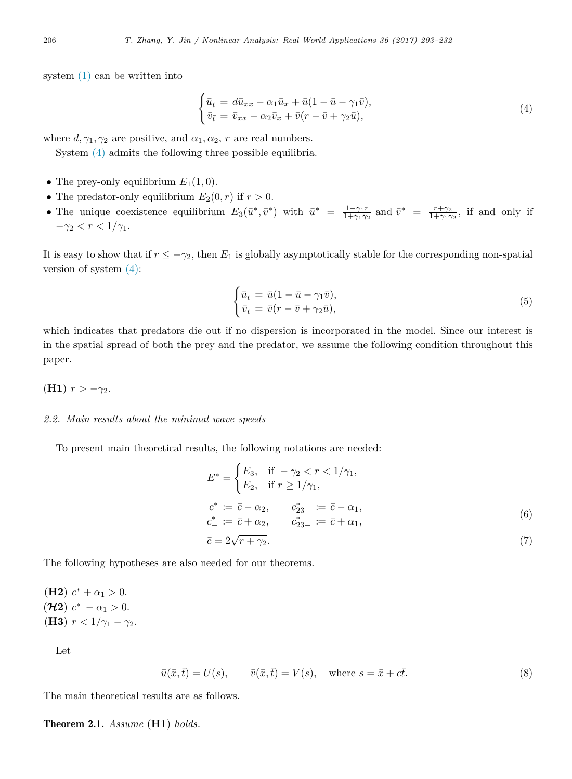system [\(1\)](#page-1-0) can be written into

<span id="page-3-0"></span>
$$
\begin{cases} \bar{u}_{\bar{t}} = d\bar{u}_{\bar{x}\bar{x}} - \alpha_1 \bar{u}_{\bar{x}} + \bar{u}(1 - \bar{u} - \gamma_1 \bar{v}), \\ \bar{v}_{\bar{t}} = \bar{v}_{\bar{x}\bar{x}} - \alpha_2 \bar{v}_{\bar{x}} + \bar{v}(r - \bar{v} + \gamma_2 \bar{u}), \end{cases}
$$
(4)

where  $d, \gamma_1, \gamma_2$  are positive, and  $\alpha_1, \alpha_2, r$  are real numbers.

System [\(4\)](#page-3-0) admits the following three possible equilibria.

- The prey-only equilibrium  $E_1(1,0)$ .
- The predator-only equilibrium  $E_2(0,r)$  if  $r > 0$ .
- The unique coexistence equilibrium  $E_3(\bar{u}^*, \bar{v}^*)$  with  $\bar{u}^* = \frac{1-\gamma_1r}{1+\gamma_1\gamma_2}$  and  $\bar{v}^* = \frac{r+\gamma_2}{1+\gamma_1\gamma_2}$ , if and only if  $-\gamma_2 < r < 1/\gamma_1$ .

It is easy to show that if  $r \leq -\gamma_2$ , then  $E_1$  is globally asymptotically stable for the corresponding non-spatial version of system [\(4\):](#page-3-0)

$$
\begin{cases} \bar{u}_{\bar{t}} = \bar{u}(1 - \bar{u} - \gamma_1 \bar{v}), \\ \bar{v}_{\bar{t}} = \bar{v}(r - \bar{v} + \gamma_2 \bar{u}), \end{cases}
$$
(5)

which indicates that predators die out if no dispersion is incorporated in the model. Since our interest is in the spatial spread of both the prey and the predator, we assume the following condition throughout this paper.

# **(H1)**  $r > -\gamma_2$ .

#### *2.2. Main results about the minimal wave speeds*

To present main theoretical results, the following notations are needed:

<span id="page-3-3"></span>
$$
E^* = \begin{cases} E_3, & \text{if } -\gamma_2 < r < 1/\gamma_1, \\ E_2, & \text{if } r \ge 1/\gamma_1, \end{cases}
$$
\n
$$
c^* := \bar{c} - \alpha_2, \qquad c^*_{23} := \bar{c} - \alpha_1,
$$
\n
$$
c^*_{-} := \bar{c} + \alpha_2, \qquad c^*_{23-} := \bar{c} + \alpha_1,
$$
\n
$$
\bar{c} = 2\sqrt{r + \gamma_2}.
$$
\n
$$
(7)
$$

The following hypotheses are also needed for our theorems.

(H2) 
$$
c^* + \alpha_1 > 0
$$
.  
\n(H2)  $c^* - \alpha_1 > 0$ .  
\n(H3)  $r < 1/\gamma_1 - \gamma_2$ .

Let

<span id="page-3-2"></span>
$$
\bar{u}(\bar{x}, \bar{t}) = U(s), \qquad \bar{v}(\bar{x}, \bar{t}) = V(s), \quad \text{where } s = \bar{x} + c\bar{t}.
$$
\n
$$
(8)
$$

The main theoretical results are as follows.

<span id="page-3-1"></span>Theorem 2.1. *Assume* (**H1**) *holds.*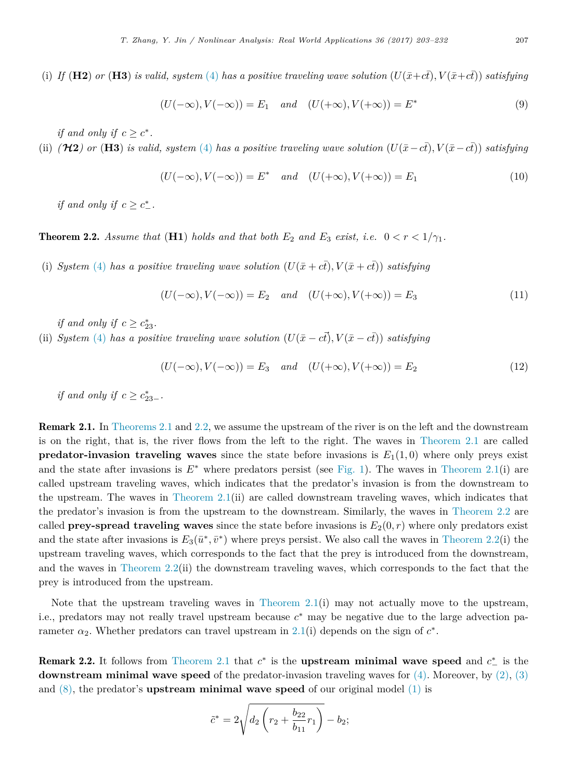(i) *If* (**H2**) *or* (**H3**) *is valid, system* [\(4\)](#page-3-0) *has a positive traveling wave solution*  $(U(\bar{x}+c\bar{t}), V(\bar{x}+c\bar{t}))$  *satisfying* 

<span id="page-4-1"></span>
$$
(U(-\infty), V(-\infty)) = E_1 \quad and \quad (U(+\infty), V(+\infty)) = E^*
$$
\n(9)

*if and only if*  $c \geq c^*$ .

(ii)  $(\mathcal{H}2)$  or (**H3**) is valid, system [\(4\)](#page-3-0) has a positive traveling wave solution  $(U(\bar{x}-c\bar{t}), V(\bar{x}-c\bar{t}))$  satisfying

<span id="page-4-2"></span>
$$
(U(-\infty), V(-\infty)) = E^* \quad and \quad (U(+\infty), V(+\infty)) = E_1 \tag{10}
$$

<span id="page-4-0"></span>*if and only if*  $c \geq c^*_-$ .

**Theorem 2.2.** *Assume that* (**H1**) *holds and that both*  $E_2$  *and*  $E_3$  *exist, i.e.*  $0 < r < 1/\gamma_1$ .

(i) *System* [\(4\)](#page-3-0) has a positive traveling wave solution  $(U(\bar{x} + c\bar{t}), V(\bar{x} + c\bar{t}))$  satisfying

$$
(U(-\infty), V(-\infty)) = E_2 \quad and \quad (U(+\infty), V(+\infty)) = E_3 \tag{11}
$$

*if and only if*  $c \geq c_{23}^*$ .

(ii) *System* [\(4\)](#page-3-0) *has a positive traveling wave solution*  $(U(\bar{x} - c\bar{t}), V(\bar{x} - c\bar{t}))$  *satisfying* 

$$
(U(-\infty), V(-\infty)) = E_3 \quad and \quad (U(+\infty), V(+\infty)) = E_2 \tag{12}
$$

*if and only if*  $c \geq c_{23-}^*$ .

Remark 2.1. In [Theorems 2.1](#page-3-1) and [2.2,](#page-4-0) we assume the upstream of the river is on the left and the downstream is on the right, that is, the river flows from the left to the right. The waves in [Theorem 2.1](#page-3-1) are called **predator-invasion traveling waves** since the state before invasions is  $E_1(1,0)$  where only preys exist and the state after invasions is  $E^*$  where predators persist (see [Fig. 1\)](#page-5-1). The waves in [Theorem 2.1\(](#page-3-1)i) are called upstream traveling waves, which indicates that the predator's invasion is from the downstream to the upstream. The waves in [Theorem 2.1\(](#page-3-1)ii) are called downstream traveling waves, which indicates that the predator's invasion is from the upstream to the downstream. Similarly, the waves in [Theorem 2.2](#page-4-0) are called **prey-spread traveling waves** since the state before invasions is  $E_2(0,r)$  where only predators exist and the state after invasions is  $E_3(\bar{u}^*, \bar{v}^*)$  where preys persist. We also call the waves in [Theorem 2.2\(](#page-4-0)i) the upstream traveling waves, which corresponds to the fact that the prey is introduced from the downstream, and the waves in [Theorem 2.2\(](#page-4-0)ii) the downstream traveling waves, which corresponds to the fact that the prey is introduced from the upstream.

Note that the upstream traveling waves in [Theorem 2.1\(](#page-3-1)i) may not actually move to the upstream, i.e., predators may not really travel upstream because *c* <sup>∗</sup> may be negative due to the large advection parameter  $\alpha_2$ . Whether predators can travel upstream in [2.1\(](#page-3-1)i) depends on the sign of  $c^*$ .

<span id="page-4-3"></span>**Remark 2.2.** It follows from [Theorem 2.1](#page-3-1) that  $c^*$  is the **upstream minimal wave speed** and  $c^*$  is the **downstream minimal wave speed** of the predator-invasion traveling waves for [\(4\).](#page-3-0) Moreover, by [\(2\),](#page-1-1) [\(3\)](#page-2-1) and  $(8)$ , the predator's **upstream minimal wave speed** of our original model  $(1)$  is

$$
\tilde{c}^* = 2\sqrt{d_2 \left(r_2 + \frac{b_{22}}{b_{11}}r_1\right)} - b_2;
$$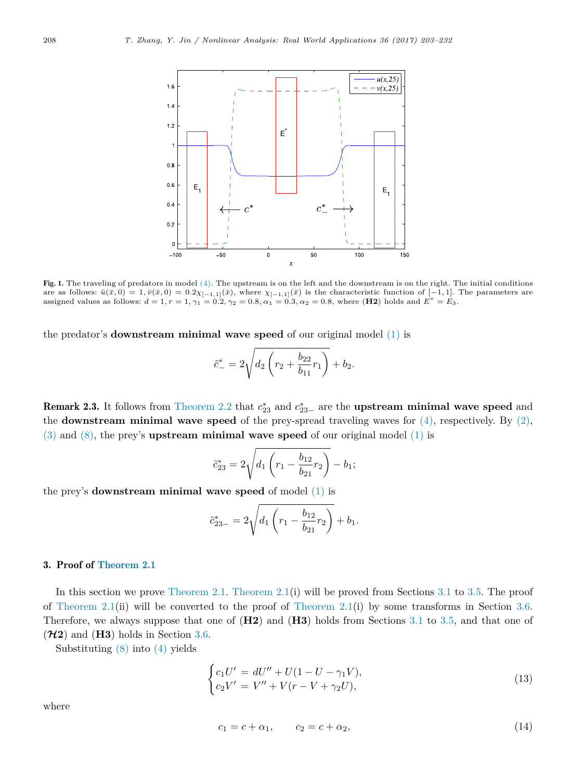<span id="page-5-1"></span>

Fig. 1. The traveling of predators in model [\(4\).](#page-3-0) The upstream is on the left and the downstream is on the right. The initial conditions are as follows:  $\bar{u}(\bar{x},0) = 1, \bar{v}(\bar{x},0) = 0.2\chi_{[-1,1]}(\bar{x})$ , where  $\chi_{[-1,1]}(\bar{x})$  is the characteristic function of  $[-1,1]$ . The parameters are assigned values as follows:  $d = 1, r = 1, \gamma_1 = 0.2, \gamma_2 = 0.8, \alpha_1 = 0.3, \alpha_2 = 0.8$ , where (**H2**) holds and  $E^* = E_3$ .

the predator's **downstream minimal wave speed** of our original model [\(1\)](#page-1-0) is

$$
\tilde{c}_{-}^{*} = 2\sqrt{d_2 \left(r_2 + \frac{b_{22}}{b_{11}}r_1\right)} + b_2.
$$

**Remark 2.3.** It follows from [Theorem 2.2](#page-4-0) that  $c_{23}^*$  and  $c_{23-}^*$  are the **upstream minimal wave speed** and the **downstream minimal wave speed** of the prey-spread traveling waves for  $(4)$ , respectively. By  $(2)$ , [\(3\)](#page-2-1) and [\(8\),](#page-3-2) the prey's **upstream minimal wave speed** of our original model [\(1\)](#page-1-0) is

$$
\tilde{c}_{23}^* = 2\sqrt{d_1 \left(r_1 - \frac{b_{12}}{b_{21}}r_2\right)} - b_1;
$$

the prey's **downstream minimal wave speed** of model [\(1\)](#page-1-0) is

$$
\tilde{c}_{23-}^* = 2\sqrt{d_1\left(r_1 - \frac{b_{12}}{b_{21}}r_2\right)} + b_1.
$$

# <span id="page-5-0"></span>3. Proof of [Theorem 2.1](#page-3-1)

In this section we prove [Theorem 2.1.](#page-3-1) [Theorem 2.1\(](#page-3-1)i) will be proved from Sections [3.1](#page-6-0) to [3.5.](#page-16-0) The proof of [Theorem 2.1\(](#page-3-1)ii) will be converted to the proof of Theorem 2.1(i) by some transforms in Section [3.6.](#page-17-1) Therefore, we always suppose that one of (**H2**) and (**H3**) holds from Sections [3.1](#page-6-0) to [3.5,](#page-16-0) and that one of  $(\mathcal{H}2)$  and  $(H3)$  holds in Section [3.6.](#page-17-1)

Substituting [\(8\)](#page-3-2) into [\(4\)](#page-3-0) yields

$$
\begin{cases} c_1 U' = dU'' + U(1 - U - \gamma_1 V), \\ c_2 V' = V'' + V(r - V + \gamma_2 U), \end{cases}
$$
(13)

where

<span id="page-5-3"></span><span id="page-5-2"></span>
$$
c_1 = c + \alpha_1, \qquad c_2 = c + \alpha_2,\tag{14}
$$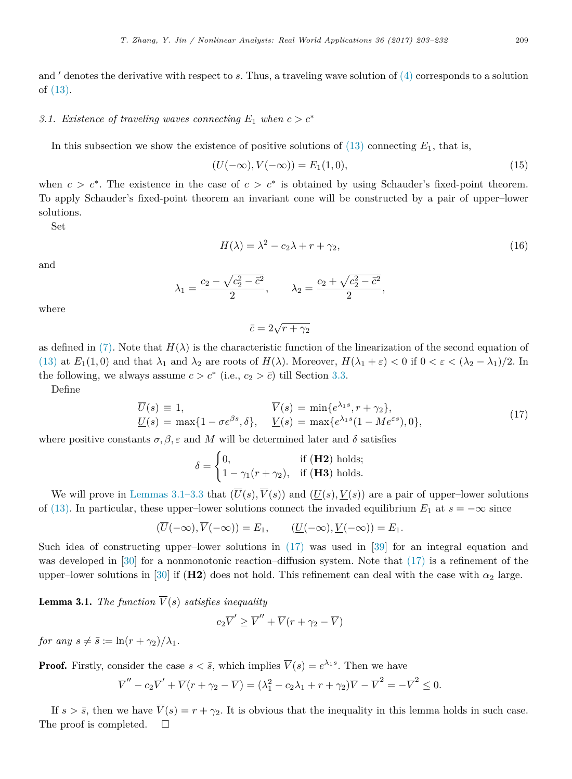and ′ denotes the derivative with respect to *s*. Thus, a traveling wave solution of [\(4\)](#page-3-0) corresponds to a solution of [\(13\).](#page-5-2)

## <span id="page-6-0"></span>*3.1. Existence of traveling waves connecting*  $E_1$  *when*  $c > c^*$

In this subsection we show the existence of positive solutions of  $(13)$  connecting  $E_1$ , that is,

$$
(U(-\infty), V(-\infty)) = E_1(1, 0), \tag{15}
$$

when  $c > c^*$ . The existence in the case of  $c > c^*$  is obtained by using Schauder's fixed-point theorem. To apply Schauder's fixed-point theorem an invariant cone will be constructed by a pair of upper–lower solutions.

Set

$$
H(\lambda) = \lambda^2 - c_2 \lambda + r + \gamma_2,\tag{16}
$$

and

$$
\lambda_1 = \frac{c_2 - \sqrt{c_2^2 - \bar{c}^2}}{2}, \qquad \lambda_2 = \frac{c_2 + \sqrt{c_2^2 - \bar{c}^2}}{2},
$$

where

<span id="page-6-3"></span><span id="page-6-2"></span>
$$
\bar{c} = 2\sqrt{r + \gamma_2}
$$

as defined in [\(7\).](#page-3-3) Note that  $H(\lambda)$  is the characteristic function of the linearization of the second equation of [\(13\)](#page-5-2) at  $E_1(1,0)$  and that  $\lambda_1$  and  $\lambda_2$  are roots of  $H(\lambda)$ . Moreover,  $H(\lambda_1 + \varepsilon) < 0$  if  $0 < \varepsilon < (\lambda_2 - \lambda_1)/2$ . In the following, we always assume  $c > c^*$  (i.e.,  $c_2 > \bar{c}$ ) till Section [3.3.](#page-13-1)

Define

$$
\overline{U}(s) \equiv 1, \qquad \overline{V}(s) = \min\{e^{\lambda_1 s}, r + \gamma_2\},
$$
  

$$
\underline{U}(s) = \max\{1 - \sigma e^{\beta s}, \delta\}, \quad \underline{V}(s) = \max\{e^{\lambda_1 s}(1 - Me^{\varepsilon s}), 0\},
$$
\n(17)

where positive constants  $\sigma, \beta, \varepsilon$  and *M* will be determined later and  $\delta$  satisfies

$$
\delta = \begin{cases} 0, & \text{if } (\mathbf{H2}) \text{ holds;} \\ 1 - \gamma_1 (r + \gamma_2), & \text{if } (\mathbf{H3}) \text{ holds.} \end{cases}
$$

We will prove in [Lemmas 3.1–3.3](#page-6-1) that  $(\overline{U}(s), \overline{V}(s))$  and  $(U(s), V(s))$  are a pair of upper–lower solutions of [\(13\).](#page-5-2) In particular, these upper–lower solutions connect the invaded equilibrium  $E_1$  at  $s = -\infty$  since

$$
(\overline{U}(-\infty), \overline{V}(-\infty)) = E_1, \qquad (\underline{U}(-\infty), \underline{V}(-\infty)) = E_1.
$$

Such idea of constructing upper–lower solutions in  $(17)$  was used in [\[39\]](#page-28-18) for an integral equation and was developed in [\[30\]](#page-28-8) for a nonmonotonic reaction–diffusion system. Note that  $(17)$  is a refinement of the upper–lower solutions in [\[30\]](#page-28-8) if ( $\textbf{H2}$ ) does not hold. This refinement can deal with the case with  $\alpha_2$  large.

<span id="page-6-1"></span>**Lemma 3.1.** *The function*  $\overline{V}(s)$  *satisfies inequality* 

$$
c_2\overline{V}' \ge \overline{V}'' + \overline{V}(r + \gamma_2 - \overline{V})
$$

*for any*  $s \neq \overline{s} := \ln(r + \gamma_2)/\lambda_1$ .

**Proof.** Firstly, consider the case  $s < \bar{s}$ , which implies  $\overline{V}(s) = e^{\lambda_1 s}$ . Then we have

$$
\overline{V}'' - c_2 \overline{V}' + \overline{V}(r + \gamma_2 - \overline{V}) = (\lambda_1^2 - c_2 \lambda_1 + r + \gamma_2) \overline{V} - \overline{V}^2 = -\overline{V}^2 \le 0.
$$

If  $s > \bar{s}$ , then we have  $\bar{V}(s) = r + \gamma_2$ . It is obvious that the inequality in this lemma holds in such case. The proof is completed.  $\square$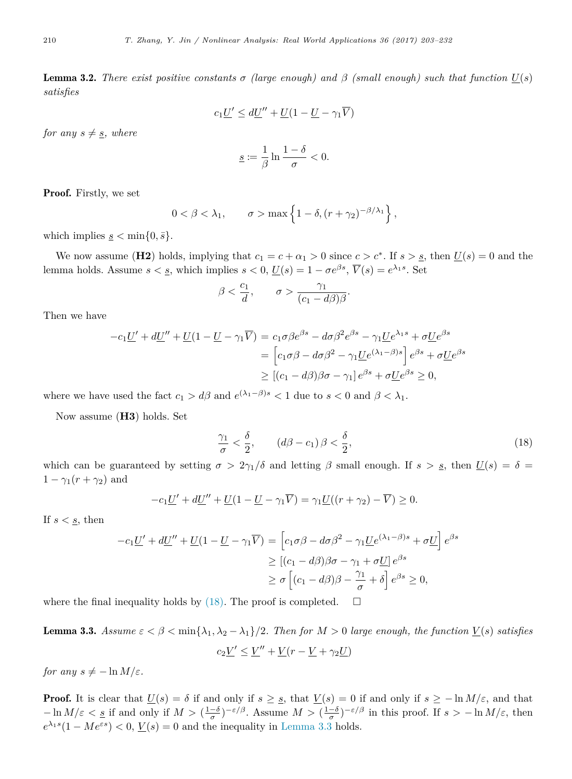<span id="page-7-2"></span>**Lemma 3.2.** *There exist positive constants*  $\sigma$  *(large enough) and*  $\beta$  *(small enough) such that function*  $U(s)$ *satisfies*

$$
c_1\underline{U}' \le d\underline{U}'' + \underline{U}(1 - \underline{U} - \gamma_1\overline{V})
$$

*for any*  $s \neq s$ *, where* 

$$
\underline{s} := \frac{1}{\beta} \ln \frac{1-\delta}{\sigma} < 0.
$$

Proof. Firstly, we set

$$
0 < \beta < \lambda_1, \qquad \sigma > \max\left\{1 - \delta, \left(r + \gamma_2\right)^{-\beta/\lambda_1}\right\},\,
$$

which implies  $s \leq \min\{0, \bar{s}\}.$ 

We now assume (**H2**) holds, implying that  $c_1 = c + \alpha_1 > 0$  since  $c > c^*$ . If  $s > s$ , then  $\underline{U}(s) = 0$  and the lemma holds. Assume  $s < s$ , which implies  $s < 0$ ,  $\underline{U}(s) = 1 - \sigma e^{\beta s}$ ,  $\overline{V}(s) = e^{\lambda_1 s}$ . Set

$$
\beta < \frac{c_1}{d}, \qquad \sigma > \frac{\gamma_1}{(c_1 - d\beta)\beta}.
$$

Then we have

$$
-c_1 \underline{U}' + d\underline{U}'' + \underline{U}(1 - \underline{U} - \gamma_1 \overline{V}) = c_1 \sigma \beta e^{\beta s} - d\sigma \beta^2 e^{\beta s} - \gamma_1 \underline{U} e^{\lambda_1 s} + \sigma \underline{U} e^{\beta s}
$$
  
= 
$$
\left[c_1 \sigma \beta - d\sigma \beta^2 - \gamma_1 \underline{U} e^{(\lambda_1 - \beta)s}\right] e^{\beta s} + \sigma \underline{U} e^{\beta s}
$$
  

$$
\geq \left[ (c_1 - d\beta) \beta \sigma - \gamma_1 \right] e^{\beta s} + \sigma \underline{U} e^{\beta s} \geq 0,
$$

where we have used the fact  $c_1 > d\beta$  and  $e^{(\lambda_1 - \beta)s} < 1$  due to  $s < 0$  and  $\beta < \lambda_1$ .

Now assume (**H3**) holds. Set

<span id="page-7-0"></span>
$$
\frac{\gamma_1}{\sigma} < \frac{\delta}{2}, \qquad (d\beta - c_1) \beta < \frac{\delta}{2}, \tag{18}
$$

which can be guaranteed by setting  $\sigma > 2\gamma_1/\delta$  and letting  $\beta$  small enough. If  $s > s$ , then  $U(s) = \delta$  $1 - \gamma_1(r + \gamma_2)$  and

$$
-c_1 \underline{U}' + d\underline{U}'' + \underline{U}(1 - \underline{U} - \gamma_1 \overline{V}) = \gamma_1 \underline{U}((r + \gamma_2) - \overline{V}) \ge 0.
$$

If  $s < s$ , then

$$
-c_1 \underline{U}' + d\underline{U}'' + \underline{U}(1 - \underline{U} - \gamma_1 \overline{V}) = \left[c_1 \sigma \beta - d\sigma \beta^2 - \gamma_1 \underline{U} e^{(\lambda_1 - \beta)s} + \sigma \underline{U}\right] e^{\beta s}
$$
  
\n
$$
\geq \left[ (c_1 - d\beta)\beta\sigma - \gamma_1 + \sigma \underline{U} \right] e^{\beta s}
$$
  
\n
$$
\geq \sigma \left[ (c_1 - d\beta)\beta - \frac{\gamma_1}{\sigma} + \delta \right] e^{\beta s} \geq 0,
$$

where the final inequality holds by  $(18)$ . The proof is completed.  $\Box$ 

<span id="page-7-1"></span>**Lemma 3.3.** Assume  $\varepsilon < \beta < \min\{\lambda_1, \lambda_2 - \lambda_1\}/2$ . Then for  $M > 0$  large enough, the function  $\underline{V}(s)$  satisfies  $c_2 \underline{V}' \leq \underline{V}'' + \underline{V}(r - \underline{V} + \gamma_2 \underline{U})$ 

*for any*  $s \neq -\ln M/\varepsilon$ *.* 

**Proof.** It is clear that  $\underline{U}(s) = \delta$  if and only if  $s \geq \underline{s}$ , that  $\underline{V}(s) = 0$  if and only if  $s \geq -\ln M/\varepsilon$ , and that  $-\ln M/\varepsilon < \underline{s}$  if and only if  $M > (\frac{1-\delta}{\sigma})^{-\varepsilon/\beta}$ . Assume  $M > (\frac{1-\delta}{\sigma})^{-\varepsilon/\beta}$  in this proof. If  $s > -\ln M/\varepsilon$ , then  $e^{\lambda_1 s} (1 - Me^{\varepsilon s}) < 0$ ,  $\underline{V}(s) = 0$  and the inequality in [Lemma 3.3](#page-7-1) holds.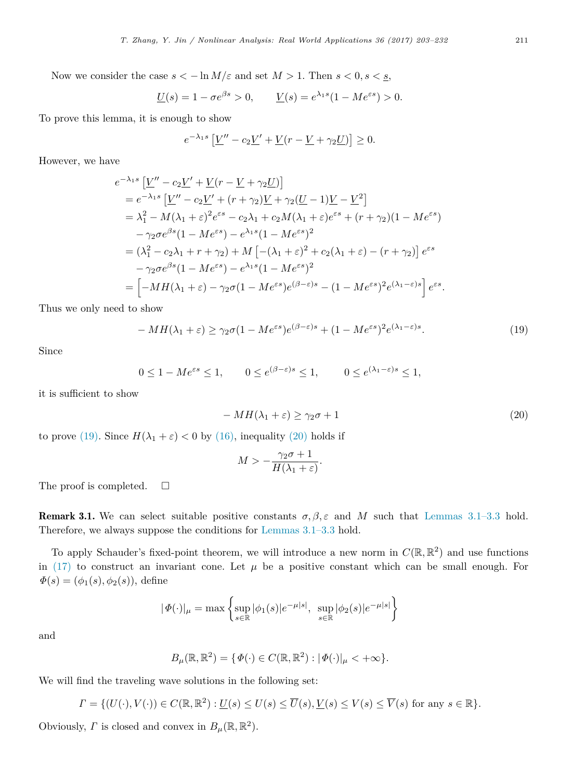Now we consider the case  $s < -\ln M/\varepsilon$  and set  $M > 1$ . Then  $s < 0, s < s$ ,

$$
\underline{U}(s) = 1 - \sigma e^{\beta s} > 0, \qquad \underline{V}(s) = e^{\lambda_1 s} (1 - Me^{\varepsilon s}) > 0.
$$

To prove this lemma, it is enough to show

$$
e^{-\lambda_1 s} \left[ \underline{V}'' - c_2 \underline{V}' + \underline{V} (r - \underline{V} + \gamma_2 \underline{U}) \right] \ge 0.
$$

However, we have

$$
e^{-\lambda_1 s} \left[ \underline{V}'' - c_2 \underline{V}' + \underline{V}(r - \underline{V} + \gamma_2 \underline{U}) \right]
$$
  
\n
$$
= e^{-\lambda_1 s} \left[ \underline{V}'' - c_2 \underline{V}' + (r + \gamma_2) \underline{V} + \gamma_2 (\underline{U} - 1) \underline{V} - \underline{V}^2 \right]
$$
  
\n
$$
= \lambda_1^2 - M(\lambda_1 + \varepsilon)^2 e^{\varepsilon s} - c_2 \lambda_1 + c_2 M(\lambda_1 + \varepsilon) e^{\varepsilon s} + (r + \gamma_2)(1 - M e^{\varepsilon s})
$$
  
\n
$$
- \gamma_2 \sigma e^{\beta s} (1 - M e^{\varepsilon s}) - e^{\lambda_1 s} (1 - M e^{\varepsilon s})^2
$$
  
\n
$$
= (\lambda_1^2 - c_2 \lambda_1 + r + \gamma_2) + M \left[ -(\lambda_1 + \varepsilon)^2 + c_2 (\lambda_1 + \varepsilon) - (r + \gamma_2) \right] e^{\varepsilon s}
$$
  
\n
$$
- \gamma_2 \sigma e^{\beta s} (1 - M e^{\varepsilon s}) - e^{\lambda_1 s} (1 - M e^{\varepsilon s})^2
$$
  
\n
$$
= \left[ -M H(\lambda_1 + \varepsilon) - \gamma_2 \sigma (1 - M e^{\varepsilon s}) e^{(\beta - \varepsilon)s} - (1 - M e^{\varepsilon s})^2 e^{(\lambda_1 - \varepsilon)s} \right] e^{\varepsilon s}.
$$

Thus we only need to show

$$
-MH(\lambda_1 + \varepsilon) \ge \gamma_2 \sigma (1 - Me^{\varepsilon s}) e^{(\beta - \varepsilon)s} + (1 - Me^{\varepsilon s})^2 e^{(\lambda_1 - \varepsilon)s}.
$$
\n(19)

Since

$$
0 \le 1 - Me^{\varepsilon s} \le 1, \qquad 0 \le e^{(\beta - \varepsilon)s} \le 1, \qquad 0 \le e^{(\lambda_1 - \varepsilon)s} \le 1,
$$

it is sufficient to show

$$
-MH(\lambda_1 + \varepsilon) \ge \gamma_2 \sigma + 1 \tag{20}
$$

to prove [\(19\).](#page-8-0) Since  $H(\lambda_1 + \varepsilon) < 0$  by [\(16\),](#page-6-3) inequality [\(20\)](#page-8-1) holds if

<span id="page-8-1"></span><span id="page-8-0"></span>
$$
M > -\frac{\gamma_2 \sigma + 1}{H(\lambda_1 + \varepsilon)}.
$$

The proof is completed.  $\square$ 

**Remark 3.1.** We can select suitable positive constants  $\sigma, \beta, \varepsilon$  and *M* such that [Lemmas 3.1–3.3](#page-6-1) hold. Therefore, we always suppose the conditions for [Lemmas 3.1–3.3](#page-6-1) hold.

To apply Schauder's fixed-point theorem, we will introduce a new norm in  $C(\mathbb{R}, \mathbb{R}^2)$  and use functions in [\(17\)](#page-6-2) to construct an invariant cone. Let  $\mu$  be a positive constant which can be small enough. For  $\Phi(s) = (\phi_1(s), \phi_2(s)),$  define

$$
|\Phi(\cdot)|_{\mu} = \max\left\{\sup_{s \in \mathbb{R}} |\phi_1(s)|e^{-\mu|s|}, \sup_{s \in \mathbb{R}} |\phi_2(s)|e^{-\mu|s|}\right\}
$$

and

$$
B_{\mu}(\mathbb{R}, \mathbb{R}^2) = \{ \varPhi(\cdot) \in C(\mathbb{R}, \mathbb{R}^2) : |\varPhi(\cdot)|_{\mu} < +\infty \}.
$$

We will find the traveling wave solutions in the following set:

$$
\Gamma = \{ (U(\cdot), V(\cdot)) \in C(\mathbb{R}, \mathbb{R}^2) : \underline{U}(s) \le U(s) \le \overline{U}(s), \underline{V}(s) \le V(s) \le \overline{V}(s) \text{ for any } s \in \mathbb{R} \}.
$$

Obviously,  $\Gamma$  is closed and convex in  $B_{\mu}(\mathbb{R}, \mathbb{R}^2)$ .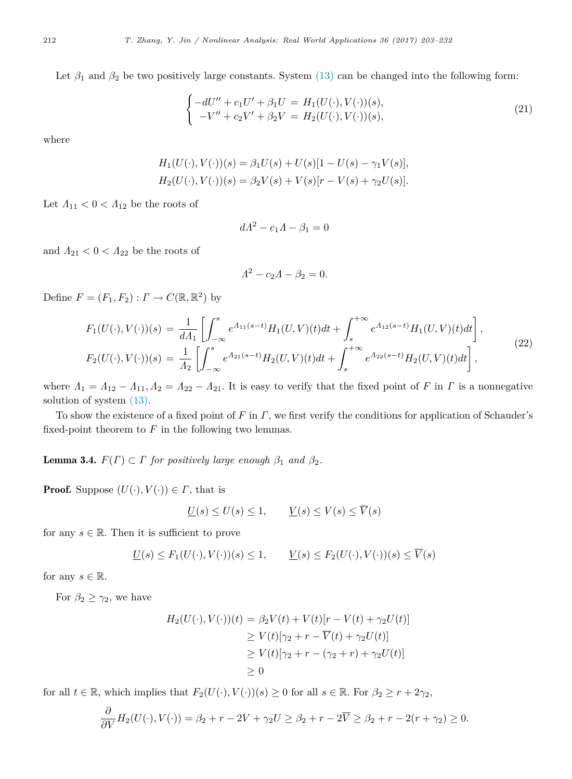Let  $\beta_1$  and  $\beta_2$  be two positively large constants. System [\(13\)](#page-5-2) can be changed into the following form:

$$
\begin{cases}\n-dU'' + c_1 U' + \beta_1 U = H_1(U(\cdot), V(\cdot))(s), \\
-V'' + c_2 V' + \beta_2 V = H_2(U(\cdot), V(\cdot))(s),\n\end{cases} (21)
$$

where

$$
H_1(U(\cdot), V(\cdot))(s) = \beta_1 U(s) + U(s)[1 - U(s) - \gamma_1 V(s)],
$$
  
\n
$$
H_2(U(\cdot), V(\cdot))(s) = \beta_2 V(s) + V(s)[r - V(s) + \gamma_2 U(s)].
$$

Let  $\Lambda_{11} < 0 < \Lambda_{12}$  be the roots of

$$
dA^2 - c_1 A - \beta_1 = 0
$$

and  $\Lambda_{21}$  <  $0$  <  $\Lambda_{22}$  be the roots of

$$
A^2 - c_2 A - \beta_2 = 0.
$$

Define  $F = (F_1, F_2) : \Gamma \to C(\mathbb{R}, \mathbb{R}^2)$  by

$$
F_1(U(\cdot), V(\cdot))(s) = \frac{1}{d\Lambda_1} \left[ \int_{-\infty}^s e^{\Lambda_{11}(s-t)} H_1(U, V)(t) dt + \int_s^{+\infty} e^{\Lambda_{12}(s-t)} H_1(U, V)(t) dt \right],
$$
  
\n
$$
F_2(U(\cdot), V(\cdot))(s) = \frac{1}{\Lambda_2} \left[ \int_{-\infty}^s e^{\Lambda_{21}(s-t)} H_2(U, V)(t) dt + \int_s^{+\infty} e^{\Lambda_{22}(s-t)} H_2(U, V)(t) dt \right],
$$
\n(22)

where  $\Lambda_1 = \Lambda_{12} - \Lambda_{11}$ ,  $\Lambda_2 = \Lambda_{22} - \Lambda_{21}$ . It is easy to verify that the fixed point of *F* in *Γ* is a nonnegative solution of system [\(13\).](#page-5-2)

To show the existence of a fixed point of *F* in Γ, we first verify the conditions for application of Schauder's fixed-point theorem to  $F$  in the following two lemmas.

<span id="page-9-0"></span>**Lemma 3.4.**  $F(\Gamma) \subset \Gamma$  *for positively large enough*  $\beta_1$  *and*  $\beta_2$ *.* 

**Proof.** Suppose  $(U(\cdot), V(\cdot)) \in \Gamma$ , that is

$$
\underline{U}(s) \le U(s) \le 1, \qquad \underline{V}(s) \le V(s) \le \overline{V}(s)
$$

for any  $s \in \mathbb{R}$ . Then it is sufficient to prove

$$
\underline{U}(s) \le F_1(U(\cdot), V(\cdot))(s) \le 1, \qquad \underline{V}(s) \le F_2(U(\cdot), V(\cdot))(s) \le \overline{V}(s)
$$

for any  $s \in \mathbb{R}$ .

For  $\beta_2 \geq \gamma_2$ , we have

$$
H_2(U(\cdot), V(\cdot))(t) = \beta_2 V(t) + V(t)[r - V(t) + \gamma_2 U(t)]
$$
  
\n
$$
\geq V(t)[\gamma_2 + r - \overline{V}(t) + \gamma_2 U(t)]
$$
  
\n
$$
\geq V(t)[\gamma_2 + r - (\gamma_2 + r) + \gamma_2 U(t)]
$$
  
\n
$$
\geq 0
$$

for all  $t \in \mathbb{R}$ , which implies that  $F_2(U(\cdot), V(\cdot))(s) \geq 0$  for all  $s \in \mathbb{R}$ . For  $\beta_2 \geq r + 2\gamma_2$ ,

$$
\frac{\partial}{\partial V}H_2(U(\cdot), V(\cdot)) = \beta_2 + r - 2V + \gamma_2 U \ge \beta_2 + r - 2\overline{V} \ge \beta_2 + r - 2(r + \gamma_2) \ge 0.
$$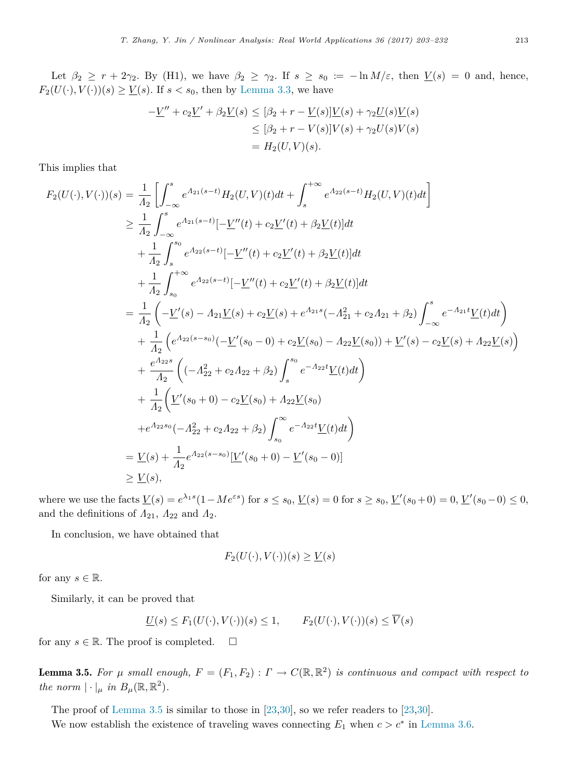Let  $\beta_2 \ge r + 2\gamma_2$ . By (H1), we have  $\beta_2 \ge \gamma_2$ . If  $s \ge s_0 := -\ln M/\varepsilon$ , then  $V(s) = 0$  and, hence,  $F_2(U(\cdot), V(\cdot))(s) \geq \underline{V}(s)$ . If  $s < s_0$ , then by [Lemma 3.3,](#page-7-1) we have

$$
-\underline{V}'' + c_2 \underline{V}' + \beta_2 \underline{V}(s) \leq [\beta_2 + r - \underline{V}(s)] \underline{V}(s) + \gamma_2 \underline{U}(s) \underline{V}(s)
$$
  

$$
\leq [\beta_2 + r - V(s)]V(s) + \gamma_2 U(s)V(s)
$$
  

$$
= H_2(U,V)(s).
$$

This implies that

$$
F_2(U(\cdot), V(\cdot))(s) = \frac{1}{A_2} \left[ \int_{-\infty}^s e^{A_{21}(s-t)} H_2(U, V)(t) dt + \int_s^{+\infty} e^{A_{22}(s-t)} H_2(U, V)(t) dt \right]
$$
  
\n
$$
\geq \frac{1}{A_2} \int_{-\infty}^s e^{A_{21}(s-t)} [-\underline{V}''(t) + c_2 \underline{V}'(t) + \beta_2 \underline{V}(t)] dt
$$
  
\n
$$
+ \frac{1}{A_2} \int_s^{s_0} e^{A_{22}(s-t)} [-\underline{V}''(t) + c_2 \underline{V}'(t) + \beta_2 \underline{V}(t)] dt
$$
  
\n
$$
+ \frac{1}{A_2} \int_{s_0}^{+\infty} e^{A_{22}(s-t)} [-\underline{V}''(t) + c_2 \underline{V}'(t) + \beta_2 \underline{V}(t)] dt
$$
  
\n
$$
= \frac{1}{A_2} \left( -\underline{V}'(s) - A_{21} \underline{V}(s) + c_2 \underline{V}(s) + e^{A_{21}s}(-A_{21}^2 + c_2 A_{21} + \beta_2) \int_{-\infty}^s e^{-A_{21}t} \underline{V}(t) dt \right)
$$
  
\n
$$
+ \frac{1}{A_2} \left( e^{A_{22}(s-s_0)}(-\underline{V}'(s_0 - 0) + c_2 \underline{V}(s_0) - A_{22} \underline{V}(s_0)) + \underline{V}'(s) - c_2 \underline{V}(s) + A_{22} \underline{V}(s) \right)
$$
  
\n
$$
+ \frac{e^{A_{22}s}}{A_2} \left( (-A_{22}^2 + c_2 A_{22} + \beta_2) \int_s^{s_0} e^{-A_{22}t} \underline{V}(t) dt \right)
$$
  
\n
$$
+ \frac{1}{A_2} \left( \underline{V}'(s_0 + 0) - c_2 \underline{V}(s_0) + A_{22} \underline{V}(s_0)
$$
  
\n
$$
+ e^{A_{22}s_0}(-A_{22}^2 + c_2 A_{22} + \beta_2) \int_{s_0}^{\infty} e^{-A_{2
$$

where we use the facts  $\underline{V}(s) = e^{\lambda_1 s} (1 - Me^{\varepsilon s})$  for  $s \le s_0$ ,  $\underline{V}(s) = 0$  for  $s \ge s_0$ ,  $\underline{V}'(s_0 + 0) = 0$ ,  $\underline{V}'(s_0 - 0) \le 0$ , and the definitions of  $\Lambda_{21}$ ,  $\Lambda_{22}$  and  $\Lambda_{2}$ .

In conclusion, we have obtained that

$$
F_2(U(\cdot), V(\cdot))(s) \ge \underline{V}(s)
$$

for any  $s \in \mathbb{R}$ .

Similarly, it can be proved that

$$
\underline{U}(s) \le F_1(U(\cdot), V(\cdot))(s) \le 1, \qquad F_2(U(\cdot), V(\cdot))(s) \le \overline{V}(s)
$$

for any  $s \in \mathbb{R}$ . The proof is completed.  $\square$ 

<span id="page-10-0"></span>**Lemma 3.5.** For  $\mu$  small enough,  $F = (F_1, F_2) : \Gamma \to C(\mathbb{R}, \mathbb{R}^2)$  is continuous and compact with respect to *the norm*  $|\cdot|_{\mu}$  *in*  $B_{\mu}(\mathbb{R}, \mathbb{R}^2)$ *.* 

The proof of [Lemma 3.5](#page-10-0) is similar to those in [\[23,](#page-28-6)[30\]](#page-28-8), so we refer readers to [\[23](#page-28-6)[,30\]](#page-28-8).

We now establish the existence of traveling waves connecting  $E_1$  when  $c > c^*$  in [Lemma 3.6.](#page-11-1)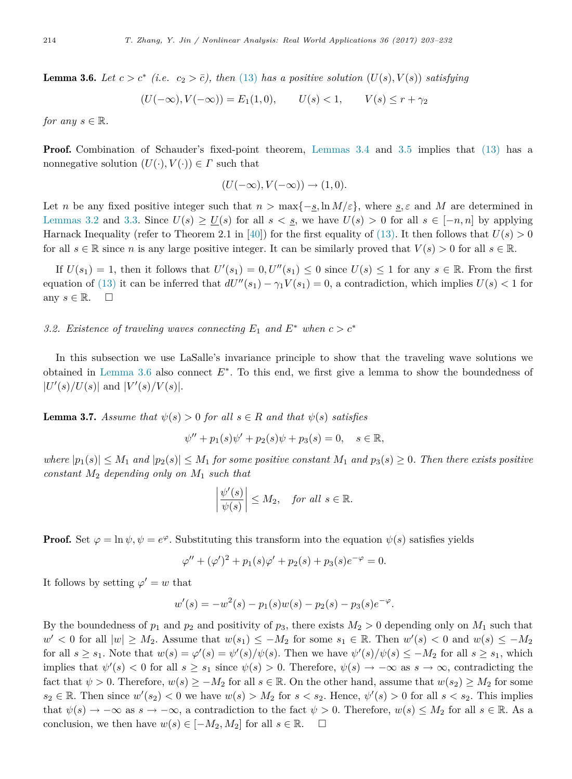**Lemma 3.6.** Let  $c > c^*$  (i.e.  $c_2 > \overline{c}$ ), then [\(13\)](#page-5-2) has a positive solution  $(U(s), V(s))$  satisfying

<span id="page-11-1"></span>
$$
(U(-\infty), V(-\infty)) = E_1(1, 0), \qquad U(s) < 1, \qquad V(s) \le r + \gamma_2
$$

*for any*  $s \in \mathbb{R}$ *.* 

**Proof.** Combination of Schauder's fixed-point theorem, [Lemmas 3.4](#page-9-0) and [3.5](#page-10-0) implies that [\(13\)](#page-5-2) has a nonnegative solution  $(U(\cdot), V(\cdot)) \in \Gamma$  such that

$$
(U(-\infty), V(-\infty)) \to (1,0).
$$

Let *n* be any fixed positive integer such that  $n > \max\{-\underline{s}, \ln M/\varepsilon\}$ , where  $\underline{s}, \varepsilon$  and M are determined in [Lemmas 3.2](#page-7-2) and [3.3.](#page-7-1) Since  $U(s) \ge U(s)$  for all  $s < s$ , we have  $U(s) > 0$  for all  $s \in [-n, n]$  by applying Harnack Inequality (refer to Theorem 2.1 in [\[40\]](#page-28-19)) for the first equality of [\(13\).](#page-5-2) It then follows that  $U(s) > 0$ for all  $s \in \mathbb{R}$  since *n* is any large positive integer. It can be similarly proved that  $V(s) > 0$  for all  $s \in \mathbb{R}$ .

If  $U(s_1) = 1$ , then it follows that  $U'(s_1) = 0, U''(s_1) \le 0$  since  $U(s) \le 1$  for any  $s \in \mathbb{R}$ . From the first equation of [\(13\)](#page-5-2) it can be inferred that  $dU''(s_1) - \gamma_1 V(s_1) = 0$ , a contradiction, which implies  $U(s) < 1$  for any  $s \in \mathbb{R}$ .  $\square$ 

## *3.2. Existence of traveling waves connecting*  $E_1$  and  $E^*$  when  $c > c^*$

In this subsection we use LaSalle's invariance principle to show that the traveling wave solutions we obtained in [Lemma 3.6](#page-11-1) also connect *E*<sup>∗</sup> . To this end, we first give a lemma to show the boundedness of  $|U'(s)/U(s)|$  and  $|V'(s)/V(s)|$ .

<span id="page-11-0"></span>**Lemma 3.7.** Assume that  $\psi(s) > 0$  for all  $s \in R$  and that  $\psi(s)$  satisfies

$$
\psi'' + p_1(s)\psi' + p_2(s)\psi + p_3(s) = 0, \quad s \in \mathbb{R},
$$

 $where |p_1(s)| \leq M_1$  and  $|p_2(s)| \leq M_1$  *for some positive constant*  $M_1$  *and*  $p_3(s) \geq 0$ *. Then there exists positive constant M*<sup>2</sup> *depending only on M*<sup>1</sup> *such that*

$$
\left|\frac{\psi'(s)}{\psi(s)}\right| \le M_2, \quad \text{for all } s \in \mathbb{R}.
$$

**Proof.** Set  $\varphi = \ln \psi$ ,  $\psi = e^{\varphi}$ . Substituting this transform into the equation  $\psi(s)$  satisfies yields

$$
\varphi'' + (\varphi')^{2} + p_{1}(s)\varphi' + p_{2}(s) + p_{3}(s)e^{-\varphi} = 0.
$$

It follows by setting  $\varphi' = w$  that

$$
w'(s) = -w^{2}(s) - p_{1}(s)w(s) - p_{2}(s) - p_{3}(s)e^{-\varphi}.
$$

By the boundedness of  $p_1$  and  $p_2$  and positivity of  $p_3$ , there exists  $M_2 > 0$  depending only on  $M_1$  such that *w*<sup>'</sup>  $\lt$  0 for all  $|w|$  ≥ *M*<sub>2</sub>. Assume that  $w(s_1)$  ≤ −*M*<sub>2</sub> for some  $s_1$  ∈ R. Then  $w'(s)$   $\lt$  0 and  $w(s)$  ≤ −*M*<sub>2</sub> for all  $s \geq s_1$ . Note that  $w(s) = \varphi'(s) = \psi'(s)/\psi(s)$ . Then we have  $\psi'(s)/\psi(s) \leq -M_2$  for all  $s \geq s_1$ , which implies that  $\psi'(s) < 0$  for all  $s \geq s_1$  since  $\psi(s) > 0$ . Therefore,  $\psi(s) \to -\infty$  as  $s \to \infty$ , contradicting the fact that  $\psi > 0$ . Therefore,  $w(s) \geq -M_2$  for all  $s \in \mathbb{R}$ . On the other hand, assume that  $w(s_2) \geq M_2$  for some  $s_2 \in \mathbb{R}$ . Then since  $w'(s_2) < 0$  we have  $w(s) > M_2$  for  $s < s_2$ . Hence,  $\psi'(s) > 0$  for all  $s < s_2$ . This implies that  $\psi(s) \to -\infty$  as  $s \to -\infty$ , a contradiction to the fact  $\psi > 0$ . Therefore,  $w(s) \leq M_2$  for all  $s \in \mathbb{R}$ . As a conclusion, we then have  $w(s) \in [-M_2, M_2]$  for all  $s \in \mathbb{R}$ .  $\square$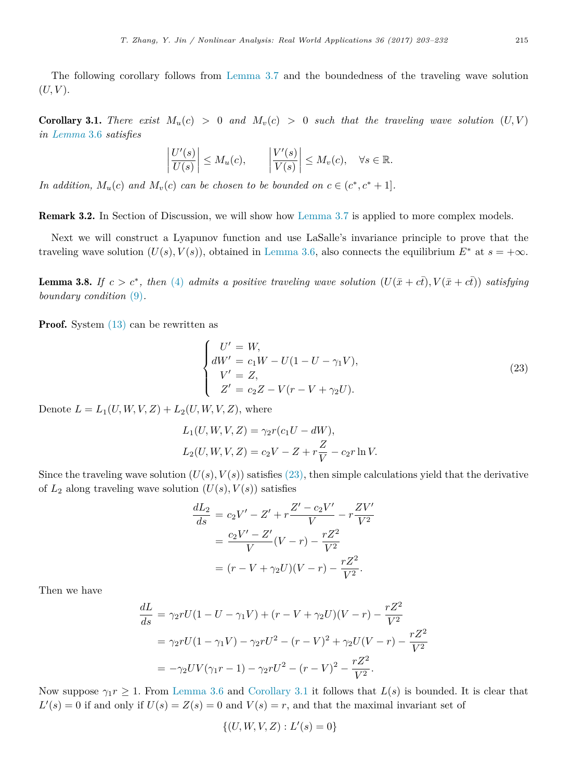The following corollary follows from [Lemma 3.7](#page-11-0) and the boundedness of the traveling wave solution  $(U, V)$ .

<span id="page-12-1"></span>**Corollary 3.1.** *There exist*  $M_u(c) > 0$  *and*  $M_v(c) > 0$  *such that the traveling wave solution*  $(U, V)$ *in [Lemma](#page-11-1)* 3.6 *satisfies*

$$
\left|\frac{U'(s)}{U(s)}\right| \le M_u(c), \qquad \left|\frac{V'(s)}{V(s)}\right| \le M_v(c), \quad \forall s \in \mathbb{R}.
$$

*In addition,*  $M_u(c)$  *and*  $M_v(c)$  *can be chosen to be bounded on*  $c \in (c^*, c^* + 1]$ *.* 

Remark 3.2. In Section of Discussion, we will show how [Lemma 3.7](#page-11-0) is applied to more complex models.

Next we will construct a Lyapunov function and use LaSalle's invariance principle to prove that the traveling wave solution  $(U(s), V(s))$ , obtained in [Lemma 3.6,](#page-11-1) also connects the equilibrium  $E^*$  at  $s = +\infty$ .

<span id="page-12-2"></span>**Lemma 3.8.** If  $c > c^*$ , then [\(4\)](#page-3-0) admits a positive traveling wave solution  $(U(\bar{x} + c\bar{t}), V(\bar{x} + c\bar{t}))$  satisfying *boundary condition* [\(9\)](#page-4-1)*.*

Proof. System  $(13)$  can be rewritten as

<span id="page-12-0"></span>
$$
\begin{cases}\nU' = W, \\
dW' = c_1 W - U(1 - U - \gamma_1 V), \\
V' = Z, \\
Z' = c_2 Z - V(r - V + \gamma_2 U).\n\end{cases}
$$
\n(23)

Denote  $L = L_1(U, W, V, Z) + L_2(U, W, V, Z)$ , where

$$
L_1(U, W, V, Z) = \gamma_2 r(c_1 U - dW),
$$
  
\n
$$
L_2(U, W, V, Z) = c_2 V - Z + r \frac{Z}{V} - c_2 r \ln V.
$$

Since the traveling wave solution  $(U(s), V(s))$  satisfies [\(23\),](#page-12-0) then simple calculations yield that the derivative of  $L_2$  along traveling wave solution  $(U(s), V(s))$  satisfies

$$
\frac{dL_2}{ds} = c_2 V' - Z' + r \frac{Z' - c_2 V'}{V} - r \frac{Z V'}{V^2}
$$

$$
= \frac{c_2 V' - Z'}{V} (V - r) - \frac{r Z^2}{V^2}
$$

$$
= (r - V + \gamma_2 U)(V - r) - \frac{r Z^2}{V^2}.
$$

Then we have

$$
\frac{dL}{ds} = \gamma_2 r U (1 - U - \gamma_1 V) + (r - V + \gamma_2 U)(V - r) - \frac{rZ^2}{V^2}
$$
  
=  $\gamma_2 r U (1 - \gamma_1 V) - \gamma_2 r U^2 - (r - V)^2 + \gamma_2 U (V - r) - \frac{rZ^2}{V^2}$   
=  $-\gamma_2 UV (\gamma_1 r - 1) - \gamma_2 r U^2 - (r - V)^2 - \frac{rZ^2}{V^2}.$ 

Now suppose  $\gamma_1 r \geq 1$ . From [Lemma 3.6](#page-11-1) and [Corollary 3.1](#page-12-1) it follows that  $L(s)$  is bounded. It is clear that  $L'(s) = 0$  if and only if  $U(s) = Z(s) = 0$  and  $V(s) = r$ , and that the maximal invariant set of

$$
\{(U, W, V, Z) : L'(s) = 0\}
$$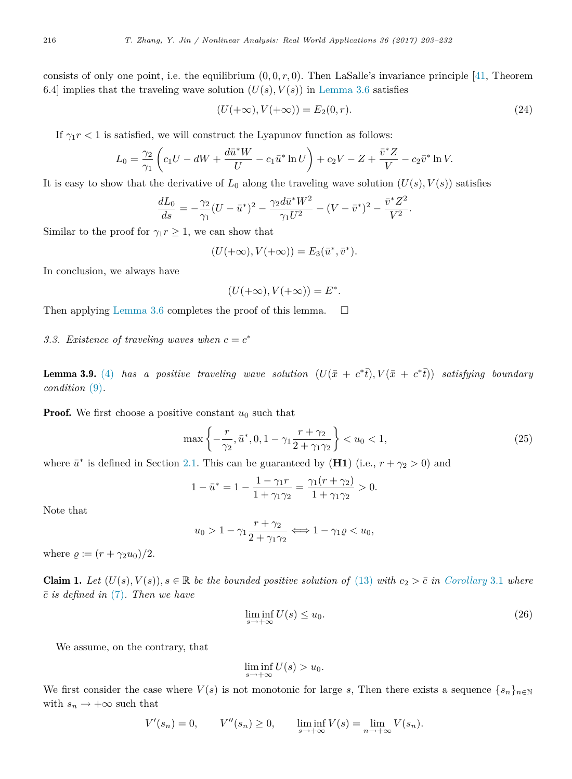consists of only one point, i.e. the equilibrium  $(0, 0, r, 0)$ . Then LaSalle's invariance principle [\[41,](#page-29-0) Theorem 6.4] implies that the traveling wave solution  $(U(s), V(s))$  in [Lemma 3.6](#page-11-1) satisfies

$$
(U(+\infty), V(+\infty)) = E_2(0, r). \tag{24}
$$

If  $\gamma_1 r < 1$  is satisfied, we will construct the Lyapunov function as follows:

$$
L_0 = \frac{\gamma_2}{\gamma_1} \left( c_1 U - dW + \frac{d\bar{u}^* W}{U} - c_1 \bar{u}^* \ln U \right) + c_2 V - Z + \frac{\bar{v}^* Z}{V} - c_2 \bar{v}^* \ln V.
$$

It is easy to show that the derivative of  $L_0$  along the traveling wave solution  $(U(s), V(s))$  satisfies

$$
\frac{dL_0}{ds} = -\frac{\gamma_2}{\gamma_1} (U - \bar{u}^*)^2 - \frac{\gamma_2 d\bar{u}^* W^2}{\gamma_1 U^2} - (V - \bar{v}^*)^2 - \frac{\bar{v}^* Z^2}{V^2}.
$$

Similar to the proof for  $\gamma_1 r \geq 1$ , we can show that

$$
(U(+\infty),V(+\infty))=E_3(\bar{u}^*,\bar{v}^*).
$$

In conclusion, we always have

<span id="page-13-2"></span>
$$
(U(+\infty), V(+\infty)) = E^*.
$$

Then applying [Lemma 3.6](#page-11-1) completes the proof of this lemma.  $\Box$ 

<span id="page-13-1"></span>3.3. Existence of traveling waves when  $c = c^*$ 

<span id="page-13-0"></span>**Lemma 3.9.** [\(4\)](#page-3-0) has a positive traveling wave solution  $(U(\bar{x} + c^*\bar{t}), V(\bar{x} + c^*\bar{t}))$  satisfying boundary *condition* [\(9\)](#page-4-1)*.*

**Proof.** We first choose a positive constant  $u_0$  such that

$$
\max\left\{-\frac{r}{\gamma_2}, \bar{u}^*, 0, 1-\gamma_1 \frac{r+\gamma_2}{2+\gamma_1 \gamma_2}\right\} < u_0 < 1,\tag{25}
$$

where  $\bar{u}^*$  is defined in Section [2.1.](#page-2-2) This can be guaranteed by (**H1**) (i.e.,  $r + \gamma_2 > 0$ ) and

$$
1 - \bar{u}^* = 1 - \frac{1 - \gamma_1 r}{1 + \gamma_1 \gamma_2} = \frac{\gamma_1 (r + \gamma_2)}{1 + \gamma_1 \gamma_2} > 0.
$$

Note that

$$
u_0 > 1 - \gamma_1 \frac{r + \gamma_2}{2 + \gamma_1 \gamma_2} \iff 1 - \gamma_1 \varrho < u_0,
$$

where  $\rho := (r + \gamma_2 u_0)/2$ .

<span id="page-13-3"></span>**Claim 1.** Let  $(U(s), V(s)), s \in \mathbb{R}$  be the bounded positive solution of [\(13\)](#page-5-2) with  $c_2 > \overline{c}$  in [Corollary](#page-12-1) 3.1 where *c*¯ *is defined in* [\(7\)](#page-3-3)*. Then we have*

$$
\liminf_{s \to +\infty} U(s) \le u_0. \tag{26}
$$

We assume, on the contrary, that

$$
\liminf_{s \to +\infty} U(s) > u_0.
$$

We first consider the case where  $V(s)$  is not monotonic for large *s*, Then there exists a sequence  $\{s_n\}_{n\in\mathbb{N}}$ with  $s_n \to +\infty$  such that

$$
V'(s_n) = 0, \qquad V''(s_n) \ge 0, \qquad \liminf_{s \to +\infty} V(s) = \lim_{n \to +\infty} V(s_n).
$$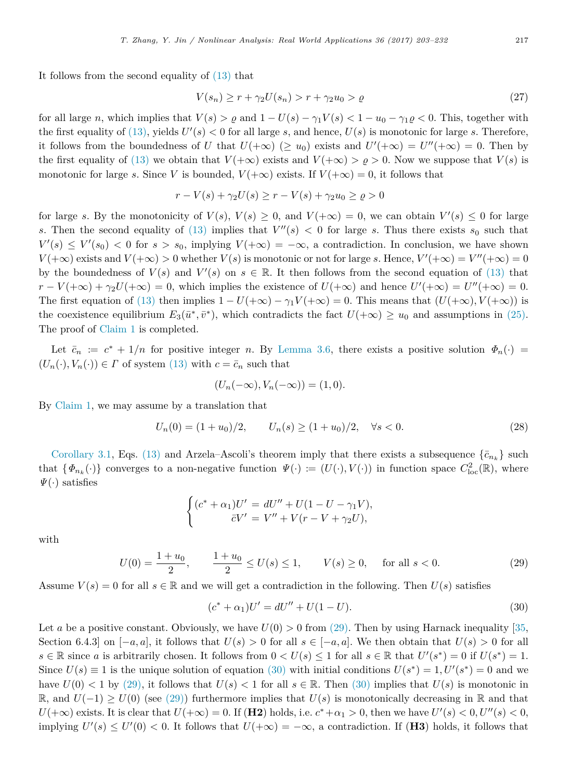It follows from the second equality of [\(13\)](#page-5-2) that

$$
V(s_n) \ge r + \gamma_2 U(s_n) > r + \gamma_2 u_0 > \varrho \tag{27}
$$

for all large *n*, which implies that  $V(s) > \rho$  and  $1 - U(s) - \gamma_1 V(s) < 1 - u_0 - \gamma_1 \rho < 0$ . This, together with the first equality of  $(13)$ , yields  $U'(s) < 0$  for all large *s*, and hence,  $U(s)$  is monotonic for large *s*. Therefore, it follows from the boundedness of *U* that  $U(+\infty)$  ( $\geq u_0$ ) exists and  $U'(+\infty) = U''(+\infty) = 0$ . Then by the first equality of [\(13\)](#page-5-2) we obtain that  $V(+\infty)$  exists and  $V(+\infty) > \rho > 0$ . Now we suppose that  $V(s)$  is monotonic for large *s*. Since *V* is bounded,  $V(+\infty)$  exists. If  $V(+\infty) = 0$ , it follows that

$$
r - V(s) + \gamma_2 U(s) \ge r - V(s) + \gamma_2 u_0 \ge \varrho > 0
$$

for large *s*. By the monotonicity of  $V(s)$ ,  $V(s) \geq 0$ , and  $V(+\infty) = 0$ , we can obtain  $V'(s) \leq 0$  for large *s*. Then the second equality of [\(13\)](#page-5-2) implies that  $V''(s) < 0$  for large *s*. Thus there exists  $s_0$  such that  $V'(s) \leq V'(s_0) < 0$  for  $s > s_0$ , implying  $V(+\infty) = -\infty$ , a contradiction. In conclusion, we have shown  $V(+\infty)$  exists and  $V(+\infty) > 0$  whether  $V(s)$  is monotonic or not for large *s*. Hence,  $V'(+\infty) = V''(+\infty) = 0$ by the boundedness of  $V(s)$  and  $V'(s)$  on  $s \in \mathbb{R}$ . It then follows from the second equation of [\(13\)](#page-5-2) that  $r - V(+\infty) + \gamma_2 U(+\infty) = 0$ , which implies the existence of  $U(+\infty)$  and hence  $U'(+\infty) = U''(+\infty) = 0$ . The first equation of [\(13\)](#page-5-2) then implies  $1 - U(+\infty) - \gamma_1 V(+\infty) = 0$ . This means that  $(U(+\infty), V(+\infty))$  is the coexistence equilibrium  $E_3(\bar{u}^*, \bar{v}^*)$ , which contradicts the fact  $U(+\infty) \ge u_0$  and assumptions in [\(25\).](#page-13-2) The proof of [Claim 1](#page-13-3) is completed.

Let  $\bar{c}_n := c^* + 1/n$  for positive integer *n*. By [Lemma 3.6,](#page-11-1) there exists a positive solution  $\Phi_n(\cdot)$  $(U_n(\cdot), V_n(\cdot)) \in \Gamma$  of system [\(13\)](#page-5-2) with  $c = \bar{c}_n$  such that

$$
(U_n(-\infty), V_n(-\infty)) = (1, 0).
$$

By [Claim 1,](#page-13-3) we may assume by a translation that

$$
U_n(0) = (1 + u_0)/2, \qquad U_n(s) \ge (1 + u_0)/2, \quad \forall s < 0.
$$
 (28)

[Corollary 3.1,](#page-12-1) Eqs. [\(13\)](#page-5-2) and Arzela–Ascoli's theorem imply that there exists a subsequence  $\{\bar{c}_{n_k}\}$  such that  $\{\Phi_{n_k}(\cdot)\}\)$  converges to a non-negative function  $\Psi(\cdot) := (U(\cdot), V(\cdot))$  in function space  $C^2_{\text{loc}}(\mathbb{R})$ , where  $\Psi(\cdot)$  satisfies

$$
\begin{cases} (c^* + \alpha_1)U' = dU'' + U(1 - U - \gamma_1 V), \\ \bar{c}V' = V'' + V(r - V + \gamma_2 U), \end{cases}
$$

with

$$
U(0) = \frac{1+u_0}{2}, \qquad \frac{1+u_0}{2} \le U(s) \le 1, \qquad V(s) \ge 0, \quad \text{for all } s < 0. \tag{29}
$$

Assume  $V(s) = 0$  for all  $s \in \mathbb{R}$  and we will get a contradiction in the following. Then  $U(s)$  satisfies

<span id="page-14-1"></span><span id="page-14-0"></span>
$$
(c^* + \alpha_1)U' = dU'' + U(1 - U).
$$
\n(30)

Let *a* be a positive constant. Obviously, we have  $U(0) > 0$  from [\(29\).](#page-14-0) Then by using Harnack inequality [\[35,](#page-28-15) Section 6.4.3] on  $[-a, a]$ , it follows that  $U(s) > 0$  for all  $s \in [-a, a]$ . We then obtain that  $U(s) > 0$  for all  $s \in \mathbb{R}$  since *a* is arbitrarily chosen. It follows from  $0 < U(s) \leq 1$  for all  $s \in \mathbb{R}$  that  $U'(s^*) = 0$  if  $U(s^*) = 1$ . Since  $U(s) \equiv 1$  is the unique solution of equation [\(30\)](#page-14-1) with initial conditions  $U(s^*) = 1, U'(s^*) = 0$  and we have  $U(0) < 1$  by [\(29\),](#page-14-0) it follows that  $U(s) < 1$  for all  $s \in \mathbb{R}$ . Then [\(30\)](#page-14-1) implies that  $U(s)$  is monotonic in R, and  $U(-1) ≥ U(0)$  (see [\(29\)\)](#page-14-0) furthermore implies that  $U(s)$  is monotonically decreasing in R and that  $U(+\infty)$  exists. It is clear that  $U(+\infty) = 0$ . If (**H2**) holds, i.e.  $c^* + \alpha_1 > 0$ , then we have  $U'(s) < 0$ ,  $U''(s) < 0$ , implying  $U'(s) \leq U'(0) < 0$ . It follows that  $U(+\infty) = -\infty$ , a contradiction. If (H3) holds, it follows that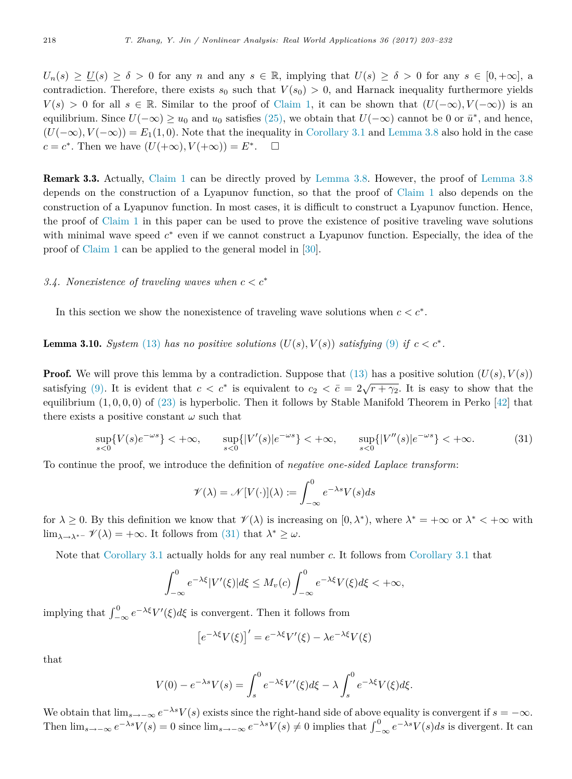$U_n(s) \ge U(s) \ge \delta > 0$  for any *n* and any  $s \in \mathbb{R}$ , implying that  $U(s) \ge \delta > 0$  for any  $s \in [0, +\infty]$ , a contradiction. Therefore, there exists  $s_0$  such that  $V(s_0) > 0$ , and Harnack inequality furthermore yields  $V(s) > 0$  for all  $s \in \mathbb{R}$ . Similar to the proof of [Claim 1,](#page-13-3) it can be shown that  $(U(-\infty), V(-\infty))$  is an equilibrium. Since  $U(-\infty) \ge u_0$  and  $u_0$  satisfies [\(25\),](#page-13-2) we obtain that  $U(-\infty)$  cannot be 0 or  $\bar{u}^*$ , and hence,  $(U(-\infty), V(-\infty)) = E_1(1,0)$ . Note that the inequality in [Corollary 3.1](#page-12-1) and [Lemma 3.8](#page-12-2) also hold in the case  $c = c^*$ . Then we have  $(U(+\infty), V(+\infty)) = E^*$  $\Box$ 

Remark 3.3. Actually, [Claim 1](#page-13-3) can be directly proved by [Lemma 3.8.](#page-12-2) However, the proof of [Lemma 3.8](#page-12-2) depends on the construction of a Lyapunov function, so that the proof of [Claim 1](#page-13-3) also depends on the construction of a Lyapunov function. In most cases, it is difficult to construct a Lyapunov function. Hence, the proof of [Claim 1](#page-13-3) in this paper can be used to prove the existence of positive traveling wave solutions with minimal wave speed  $c^*$  even if we cannot construct a Lyapunov function. Especially, the idea of the proof of [Claim 1](#page-13-3) can be applied to the general model in [\[30\]](#page-28-8).

## *3.4. Nonexistence of traveling waves when c < c*<sup>∗</sup>

In this section we show the nonexistence of traveling wave solutions when  $c < c^*$ .

**Lemma 3.10.** *System* [\(13\)](#page-5-2) *has no positive solutions*  $(U(s), V(s))$  *satisfying* [\(9\)](#page-4-1) *if*  $c < c^*$ *.* 

**Proof.** We will prove this lemma by a contradiction. Suppose that  $(13)$  has a positive solution  $(U(s), V(s))$ satisfying [\(9\).](#page-4-1) It is evident that  $c < c^*$  is equivalent to  $c_2 < \bar{c} = 2\sqrt{r + \gamma_2}$ . It is easy to show that the equilibrium  $(1,0,0,0)$  of  $(23)$  is hyperbolic. Then it follows by Stable Manifold Theorem in Perko  $[42]$  that there exists a positive constant  $\omega$  such that

$$
\sup_{s<0} \{V(s)e^{-\omega s}\} < +\infty, \qquad \sup_{s<0} \{|V'(s)|e^{-\omega s}\} < +\infty, \qquad \sup_{s<0} \{|V''(s)|e^{-\omega s}\} < +\infty. \tag{31}
$$

To continue the proof, we introduce the definition of *negative one-sided Laplace transform*:

<span id="page-15-0"></span>
$$
\mathscr{V}(\lambda) = \mathscr{N}[V(\cdot)](\lambda) := \int_{-\infty}^{0} e^{-\lambda s} V(s) ds
$$

for  $\lambda \geq 0$ . By this definition we know that  $\mathcal{V}(\lambda)$  is increasing on  $[0, \lambda^*)$ , where  $\lambda^* = +\infty$  or  $\lambda^* < +\infty$  with lim<sub> $\lambda \rightarrow \lambda^*$ </sub>  $\mathscr{V}(\lambda) = +\infty$ . It follows from [\(31\)](#page-15-0) that  $\lambda^* \geq \omega$ .

Note that [Corollary 3.1](#page-12-1) actually holds for any real number *c*. It follows from [Corollary 3.1](#page-12-1) that

$$
\int_{-\infty}^{0} e^{-\lambda \xi} |V'(\xi)| d\xi \le M_v(c) \int_{-\infty}^{0} e^{-\lambda \xi} V(\xi) d\xi < +\infty,
$$

implying that  $\int_{-\infty}^{0} e^{-\lambda \xi} V'(\xi) d\xi$  is convergent. Then it follows from

$$
\left[e^{-\lambda\xi}V(\xi)\right]' = e^{-\lambda\xi}V'(\xi) - \lambda e^{-\lambda\xi}V(\xi)
$$

that

$$
V(0) - e^{-\lambda s} V(s) = \int_s^0 e^{-\lambda \xi} V'(\xi) d\xi - \lambda \int_s^0 e^{-\lambda \xi} V(\xi) d\xi.
$$

We obtain that  $\lim_{s\to-\infty}e^{-\lambda s}V(s)$  exists since the right-hand side of above equality is convergent if  $s=-\infty$ . Then  $\lim_{s\to -\infty} e^{-\lambda s}V(s) = 0$  since  $\lim_{s\to -\infty} e^{-\lambda s}V(s) \neq 0$  implies that  $\int_{-\infty}^{0} e^{-\lambda s}V(s)ds$  is divergent. It can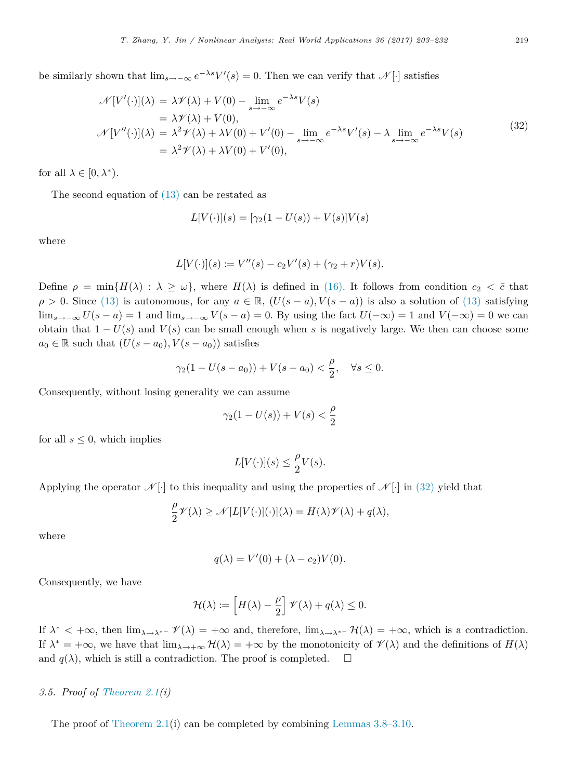be similarly shown that  $\lim_{s\to -\infty} e^{-\lambda s} V'(s) = 0$ . Then we can verify that  $\mathscr{N}[\cdot]$  satisfies

$$
\mathcal{N}[V'(\cdot)](\lambda) = \lambda \mathcal{V}(\lambda) + V(0) - \lim_{s \to -\infty} e^{-\lambda s} V(s)
$$
  
\n
$$
= \lambda \mathcal{V}(\lambda) + V(0),
$$
  
\n
$$
\mathcal{N}[V''(\cdot)](\lambda) = \lambda^2 \mathcal{V}(\lambda) + \lambda V(0) + V'(0) - \lim_{s \to -\infty} e^{-\lambda s} V'(s) - \lambda \lim_{s \to -\infty} e^{-\lambda s} V(s)
$$
  
\n
$$
= \lambda^2 \mathcal{V}(\lambda) + \lambda V(0) + V'(0),
$$
\n(32)

for all  $\lambda \in [0, \lambda^*).$ 

The second equation of  $(13)$  can be restated as

<span id="page-16-1"></span>
$$
L[V(\cdot)](s) = [\gamma_2(1 - U(s)) + V(s)]V(s)
$$

where

$$
L[V(\cdot)](s) := V''(s) - c_2 V'(s) + (\gamma_2 + r)V(s).
$$

Define  $\rho = \min\{H(\lambda) : \lambda \geq \omega\}$ , where  $H(\lambda)$  is defined in [\(16\).](#page-6-3) It follows from condition  $c_2 < \overline{c}$  that  $\rho > 0$ . Since [\(13\)](#page-5-2) is autonomous, for any  $a \in \mathbb{R}$ ,  $(U(s - a), V(s - a))$  is also a solution of (13) satisfying lim<sub>s→−∞</sub>  $U(s - a) = 1$  and lim<sub>s→−∞</sub>  $V(s - a) = 0$ . By using the fact  $U(-\infty) = 1$  and  $V(-\infty) = 0$  we can obtain that  $1 - U(s)$  and  $V(s)$  can be small enough when *s* is negatively large. We then can choose some  $a_0 \in \mathbb{R}$  such that  $(U(s - a_0), V(s - a_0))$  satisfies

$$
\gamma_2(1 - U(s - a_0)) + V(s - a_0) < \frac{\rho}{2}, \quad \forall s \le 0.
$$

Consequently, without losing generality we can assume

$$
\gamma_2(1-U(s))+V(s)<\frac{\rho}{2}
$$

for all  $s \leq 0$ , which implies

$$
L[V(\cdot)](s) \le \frac{\rho}{2}V(s).
$$

Applying the operator  $\mathcal{N}[\cdot]$  to this inequality and using the properties of  $\mathcal{N}[\cdot]$  in [\(32\)](#page-16-1) yield that

$$
\frac{\rho}{2}\mathscr{V}(\lambda) \ge \mathscr{N}[L[V(\cdot)](\cdot)](\lambda) = H(\lambda)\mathscr{V}(\lambda) + q(\lambda),
$$

where

$$
q(\lambda) = V'(0) + (\lambda - c_2)V(0).
$$

Consequently, we have

$$
\mathcal{H}(\lambda) := \left[ H(\lambda) - \frac{\rho}{2} \right] \mathcal{V}(\lambda) + q(\lambda) \leq 0.
$$

If  $\lambda^* < +\infty$ , then  $\lim_{\lambda \to \lambda^{*-}} \mathcal{V}(\lambda) = +\infty$  and, therefore,  $\lim_{\lambda \to \lambda^{*-}} \mathcal{H}(\lambda) = +\infty$ , which is a contradiction. If  $\lambda^* = +\infty$ , we have that  $\lim_{\lambda \to +\infty} H(\lambda) = +\infty$  by the monotonicity of  $\mathscr{V}(\lambda)$  and the definitions of  $H(\lambda)$ and  $q(\lambda)$ , which is still a contradiction. The proof is completed.  $\square$ 

## <span id="page-16-0"></span>*3.5. Proof of [Theorem 2.1\(](#page-3-1)i)*

The proof of [Theorem 2.1\(](#page-3-1)i) can be completed by combining [Lemmas 3.8–3.10.](#page-12-2)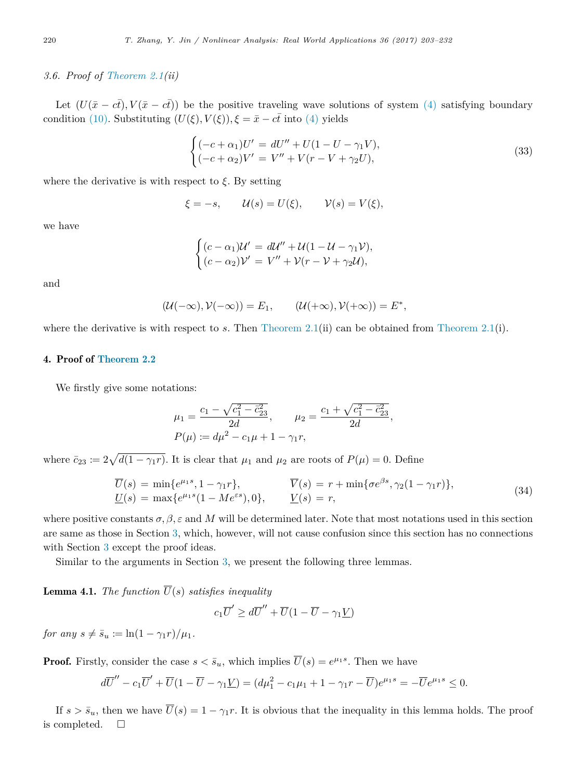# <span id="page-17-1"></span>*3.6. Proof of [Theorem 2.1\(](#page-3-1)ii)*

Let  $(U(\bar{x}-c\bar{t}), V(\bar{x}-c\bar{t}))$  be the positive traveling wave solutions of system [\(4\)](#page-3-0) satisfying boundary condition [\(10\).](#page-4-2) Substituting  $(U(\xi), V(\xi)), \xi = \bar{x} - c\bar{t}$  into [\(4\)](#page-3-0) yields

$$
\begin{cases}\n(-c + \alpha_1)U' = dU'' + U(1 - U - \gamma_1 V), \\
(-c + \alpha_2)V' = V'' + V(r - V + \gamma_2 U),\n\end{cases}
$$
\n(33)

where the derivative is with respect to  $\xi$ . By setting

$$
\xi = -s
$$
,  $\mathcal{U}(s) = U(\xi)$ ,  $\mathcal{V}(s) = V(\xi)$ ,

we have

$$
\begin{cases}\n(c - \alpha_1)\mathcal{U}' = d\mathcal{U}'' + \mathcal{U}(1 - \mathcal{U} - \gamma_1 \mathcal{V}), \\
(c - \alpha_2)\mathcal{V}' = V'' + \mathcal{V}(r - \mathcal{V} + \gamma_2 \mathcal{U}),\n\end{cases}
$$

and

$$
(\mathcal{U}(-\infty),\mathcal{V}(-\infty))=E_1,\qquad (\mathcal{U}(+\infty),\mathcal{V}(+\infty))=E^*,
$$

where the derivative is with respect to *s*. Then [Theorem 2.1\(](#page-3-1)ii) can be obtained from Theorem 2.1(i).

# <span id="page-17-0"></span>4. Proof of [Theorem 2.2](#page-4-0)

We firstly give some notations:

$$
\mu_1 = \frac{c_1 - \sqrt{c_1^2 - \bar{c}_{23}^2}}{2d}, \qquad \mu_2 = \frac{c_1 + \sqrt{c_1^2 - \bar{c}_{23}^2}}{2d},
$$
  

$$
P(\mu) := d\mu^2 - c_1\mu + 1 - \gamma_1 r,
$$

where  $\bar{c}_{23} := 2\sqrt{d(1 - \gamma_1 r)}$ . It is clear that  $\mu_1$  and  $\mu_2$  are roots of  $P(\mu) = 0$ . Define

$$
\overline{U}(s) = \min\{e^{\mu_1 s}, 1 - \gamma_1 r\}, \qquad \overline{V}(s) = r + \min\{\sigma e^{\beta s}, \gamma_2 (1 - \gamma_1 r)\},
$$
\n
$$
\underline{U}(s) = \max\{e^{\mu_1 s}(1 - Me^{\varepsilon s}), 0\}, \qquad \underline{V}(s) = r,
$$
\n(34)

where positive constants  $\sigma, \beta, \varepsilon$  and M will be determined later. Note that most notations used in this section are same as those in Section [3,](#page-5-0) which, however, will not cause confusion since this section has no connections with Section [3](#page-5-0) except the proof ideas.

Similar to the arguments in Section [3,](#page-5-0) we present the following three lemmas.

**Lemma 4.1.** *The function*  $\overline{U}(s)$  *satisfies inequality* 

$$
c_1\overline{U}' \ge d\overline{U}'' + \overline{U}(1 - \overline{U} - \gamma_1 \underline{V})
$$

*for any*  $s \neq \bar{s}_u := \ln(1 - \gamma_1 r)/\mu_1$ .

**Proof.** Firstly, consider the case  $s < \bar{s}_u$ , which implies  $\overline{U}(s) = e^{\mu_1 s}$ . Then we have

$$
d\overline{U}'' - c_1 \overline{U}' + \overline{U}(1 - \overline{U} - \gamma_1 \underline{V}) = (d\mu_1^2 - c_1\mu_1 + 1 - \gamma_1 r - \overline{U})e^{\mu_1 s} = -\overline{U}e^{\mu_1 s} \le 0.
$$

If  $s > \bar{s}_u$ , then we have  $\overline{U}(s) = 1 - \gamma_1 r$ . It is obvious that the inequality in this lemma holds. The proof is completed.  $\square$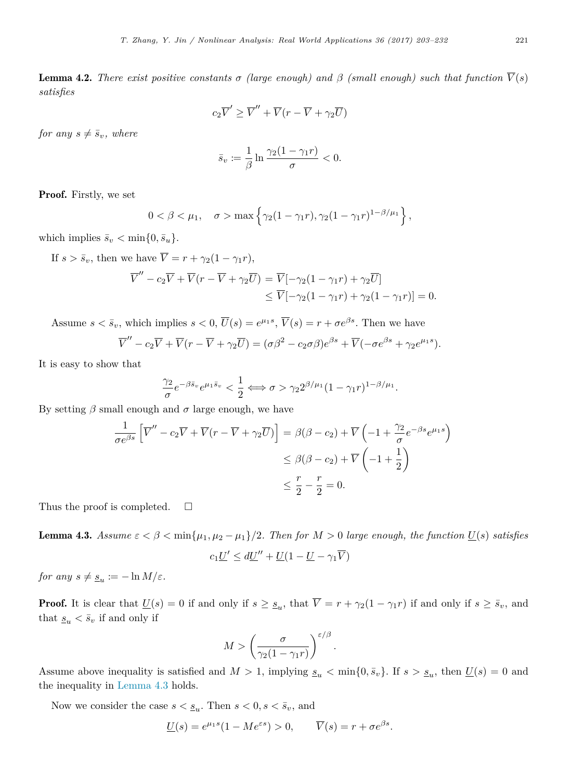**Lemma 4.2.** *There exist positive constants*  $\sigma$  *(large enough) and*  $\beta$  *(small enough) such that function*  $\overline{V}(s)$ *satisfies*

$$
c_2\overline{V}' \ge \overline{V}'' + \overline{V}(r - \overline{V} + \gamma_2 \overline{U})
$$

*for any*  $s \neq \bar{s}_v$ *, where* 

$$
\bar{s}_v := \frac{1}{\beta} \ln \frac{\gamma_2 (1 - \gamma_1 r)}{\sigma} < 0.
$$

Proof. Firstly, we set

$$
0 < \beta < \mu_1, \quad \sigma > \max\left\{\gamma_2(1 - \gamma_1 r), \gamma_2(1 - \gamma_1 r)^{1 - \beta/\mu_1}\right\},\,
$$

which implies  $\bar{s}_v < \min\{0, \bar{s}_u\}.$ 

If 
$$
s > \bar{s}_v
$$
, then we have  $\overline{V} = r + \gamma_2 (1 - \gamma_1 r)$ ,  
\n
$$
\overline{V}'' - c_2 \overline{V} + \overline{V} (r - \overline{V} + \gamma_2 \overline{U}) = \overline{V} [-\gamma_2 (1 - \gamma_1 r) + \gamma_2 \overline{U}]
$$
\n
$$
\leq \overline{V} [-\gamma_2 (1 - \gamma_1 r) + \gamma_2 (1 - \gamma_1 r)] = 0.
$$

Assume  $s < \bar{s}_v$ , which implies  $s < 0$ ,  $\overline{U}(s) = e^{\mu_1 s}$ ,  $\overline{V}(s) = r + \sigma e^{\beta s}$ . Then we have

$$
\overline{V}'' - c_2 \overline{V} + \overline{V}(r - \overline{V} + \gamma_2 \overline{U}) = (\sigma \beta^2 - c_2 \sigma \beta)e^{\beta s} + \overline{V}(-\sigma e^{\beta s} + \gamma_2 e^{\mu_1 s}).
$$

It is easy to show that

$$
\frac{\gamma_2}{\sigma} e^{-\beta \bar{s}_v} e^{\mu_1 \bar{s}_v} < \frac{1}{2} \Longleftrightarrow \sigma > \gamma_2 2^{\beta/\mu_1} (1 - \gamma_1 r)^{1 - \beta/\mu_1}.
$$

By setting  $\beta$  small enough and  $\sigma$  large enough, we have

$$
\frac{1}{\sigma e^{\beta s}} \left[ \overline{V}'' - c_2 \overline{V} + \overline{V} (r - \overline{V} + \gamma_2 \overline{U}) \right] = \beta(\beta - c_2) + \overline{V} \left( -1 + \frac{\gamma_2}{\sigma} e^{-\beta s} e^{\mu_1 s} \right)
$$

$$
\leq \beta(\beta - c_2) + \overline{V} \left( -1 + \frac{1}{2} \right)
$$

$$
\leq \frac{r}{2} - \frac{r}{2} = 0.
$$

Thus the proof is completed.  $\square$ 

<span id="page-18-0"></span>**Lemma 4.3.** Assume  $\varepsilon < \beta < \min\{\mu_1, \mu_2 - \mu_1\}/2$ . Then for  $M > 0$  large enough, the function  $\underline{U}(s)$  satisfies

$$
c_1 \underline{U}' \le d\underline{U}'' + \underline{U}(1 - \underline{U} - \gamma_1 \overline{V})
$$

*for any*  $s \neq \underline{s}_u := -\ln M/\varepsilon$ *.* 

**Proof.** It is clear that  $\underline{U}(s) = 0$  if and only if  $s \geq s_u$ , that  $\overline{V} = r + \gamma_2(1 - \gamma_1 r)$  if and only if  $s \geq \overline{s}_v$ , and that  $\underline{s}_u < \overline{s}_v$  if and only if

$$
M > \left(\frac{\sigma}{\gamma_2(1-\gamma_1r)}\right)^{\varepsilon/\beta}.
$$

Assume above inequality is satisfied and  $M > 1$ , implying  $\underline{s}_u < \min\{0, \overline{s}_v\}$ . If  $s > \underline{s}_u$ , then  $\underline{U}(s) = 0$  and the inequality in [Lemma 4.3](#page-18-0) holds.

Now we consider the case  $s < \underline{s}_u$ . Then  $s < 0, s < \overline{s}_v$ , and

$$
\underline{U}(s) = e^{\mu_1 s} (1 - Me^{\varepsilon s}) > 0, \qquad \overline{V}(s) = r + \sigma e^{\beta s}.
$$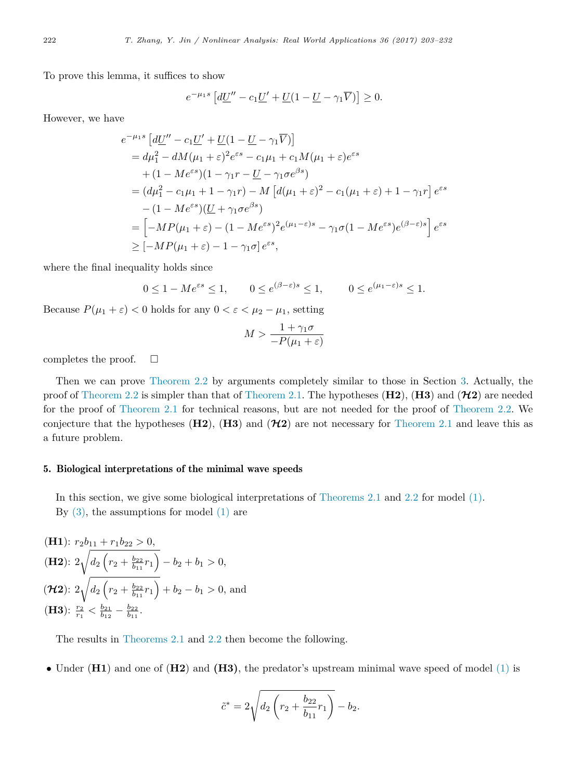To prove this lemma, it suffices to show

$$
e^{-\mu_1 s} \left[ d\underline{U}'' - c_1 \underline{U}' + \underline{U} (1 - \underline{U} - \gamma_1 \overline{V}) \right] \ge 0.
$$

However, we have

$$
e^{-\mu_1 s} \left[ d\underline{U}'' - c_1 \underline{U}' + \underline{U} (1 - \underline{U} - \gamma_1 \overline{V}) \right]
$$
  
\n
$$
= d\mu_1^2 - dM(\mu_1 + \varepsilon)^2 e^{\varepsilon s} - c_1 \mu_1 + c_1 M(\mu_1 + \varepsilon) e^{\varepsilon s}
$$
  
\n
$$
+ (1 - M e^{\varepsilon s}) (1 - \gamma_1 r - \underline{U} - \gamma_1 \sigma e^{\beta s})
$$
  
\n
$$
= (d\mu_1^2 - c_1 \mu_1 + 1 - \gamma_1 r) - M \left[ d(\mu_1 + \varepsilon)^2 - c_1 (\mu_1 + \varepsilon) + 1 - \gamma_1 r \right] e^{\varepsilon s}
$$
  
\n
$$
- (1 - M e^{\varepsilon s}) (\underline{U} + \gamma_1 \sigma e^{\beta s})
$$
  
\n
$$
= \left[ -M P(\mu_1 + \varepsilon) - (1 - M e^{\varepsilon s})^2 e^{(\mu_1 - \varepsilon)s} - \gamma_1 \sigma (1 - M e^{\varepsilon s}) e^{(\beta - \varepsilon)s} \right] e^{\varepsilon s}
$$
  
\n
$$
\geq [-M P(\mu_1 + \varepsilon) - 1 - \gamma_1 \sigma] e^{\varepsilon s},
$$

where the final inequality holds since

$$
0 \le 1 - Me^{\varepsilon s} \le 1, \qquad 0 \le e^{(\beta - \varepsilon)s} \le 1, \qquad 0 \le e^{(\mu_1 - \varepsilon)s} \le 1.
$$

Because  $P(\mu_1 + \varepsilon) < 0$  holds for any  $0 < \varepsilon < \mu_2 - \mu_1$ , setting

$$
M > \frac{1 + \gamma_1 \sigma}{-P(\mu_1 + \varepsilon)}
$$

completes the proof.  $\square$ 

Then we can prove [Theorem 2.2](#page-4-0) by arguments completely similar to those in Section [3.](#page-5-0) Actually, the proof of [Theorem 2.2](#page-4-0) is simpler than that of [Theorem 2.1.](#page-3-1) The hypotheses  $(H2)$ ,  $(H3)$  and  $(H2)$  are needed for the proof of [Theorem 2.1](#page-3-1) for technical reasons, but are not needed for the proof of [Theorem 2.2.](#page-4-0) We conjecture that the hypotheses  $(H2)$ ,  $(H3)$  and  $(H2)$  are not necessary for [Theorem 2.1](#page-3-1) and leave this as a future problem.

## <span id="page-19-0"></span>5. Biological interpretations of the minimal wave speeds

In this section, we give some biological interpretations of [Theorems 2.1](#page-3-1) and [2.2](#page-4-0) for model [\(1\).](#page-1-0) By  $(3)$ , the assumptions for model  $(1)$  are

(H1): 
$$
r_2b_{11} + r_1b_{22} > 0
$$
,  
\n(H2):  $2\sqrt{d_2\left(r_2 + \frac{b_{22}}{b_{11}}r_1\right)} - b_2 + b_1 > 0$ ,  
\n(**H2**):  $2\sqrt{d_2\left(r_2 + \frac{b_{22}}{b_{11}}r_1\right)} + b_2 - b_1 > 0$ , and  
\n(H3):  $\frac{r_2}{r_1} < \frac{b_{21}}{b_{12}} - \frac{b_{22}}{b_{11}}$ .

The results in [Theorems 2.1](#page-3-1) and [2.2](#page-4-0) then become the following.

• Under (**H1**) and one of (**H2**) and **(H3)**, the predator's upstream minimal wave speed of model [\(1\)](#page-1-0) is

$$
\tilde{c}^* = 2\sqrt{d_2 \left(r_2 + \frac{b_{22}}{b_{11}}r_1\right)} - b_2.
$$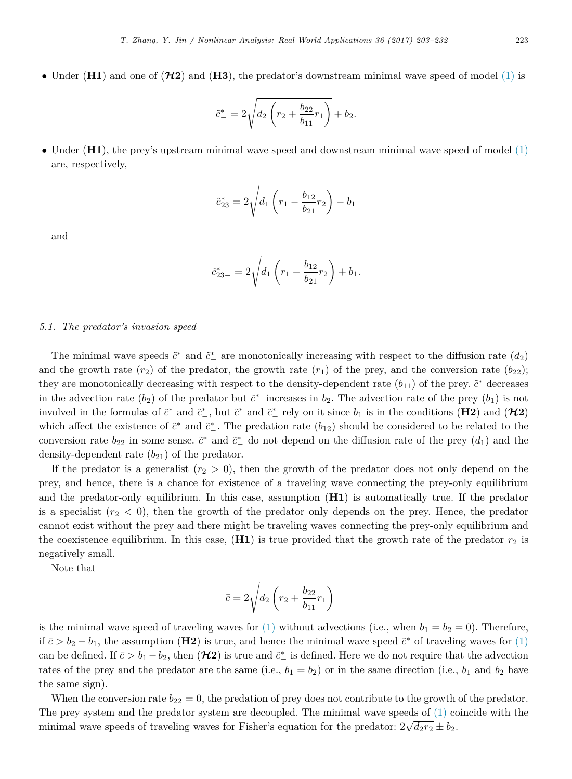• Under  $(H1)$  and one of  $(H2)$  and  $(H3)$ , the predator's downstream minimal wave speed of model  $(1)$  is

$$
\tilde{c}_{-}^{*} = 2\sqrt{d_2 \left(r_2 + \frac{b_{22}}{b_{11}}r_1\right)} + b_2.
$$

• Under (**H1**), the prey's upstream minimal wave speed and downstream minimal wave speed of model [\(1\)](#page-1-0) are, respectively,

$$
\tilde{c}_{23}^* = 2\sqrt{d_1 \left(r_1 - \frac{b_{12}}{b_{21}}r_2\right)} - b_1
$$

and

$$
\tilde{c}_{23-}^* = 2\sqrt{d_1\left(r_1 - \frac{b_{12}}{b_{21}}r_2\right)} + b_1.
$$

## *5.1. The predator's invasion speed*

The minimal wave speeds  $\tilde{c}^*$  and  $\tilde{c}^*$  are monotonically increasing with respect to the diffusion rate  $(d_2)$ and the growth rate  $(r_2)$  of the predator, the growth rate  $(r_1)$  of the prey, and the conversion rate  $(b_{22})$ ; they are monotonically decreasing with respect to the density-dependent rate  $(b_{11})$  of the prey.  $\tilde{c}^*$  decreases in the advection rate  $(b_2)$  of the predator but  $\tilde{c}^*$  increases in  $b_2$ . The advection rate of the prey  $(b_1)$  is not involved in the formulas of  $\tilde{c}^*$  and  $\tilde{c}^*$ , but  $\tilde{c}^*$  and  $\tilde{c}^*$  rely on it since  $b_1$  is in the conditions (**H2**) and (**H2**) which affect the existence of  $\tilde{c}^*$  and  $\tilde{c}^*$ . The predation rate  $(b_{12})$  should be considered to be related to the conversion rate  $b_{22}$  in some sense.  $\tilde{c}^*$  and  $\tilde{c}^*$  do not depend on the diffusion rate of the prey  $(d_1)$  and the density-dependent rate  $(b_{21})$  of the predator.

If the predator is a generalist  $(r_2 > 0)$ , then the growth of the predator does not only depend on the prey, and hence, there is a chance for existence of a traveling wave connecting the prey-only equilibrium and the predator-only equilibrium. In this case, assumption (**H1**) is automatically true. If the predator is a specialist  $(r_2 < 0)$ , then the growth of the predator only depends on the prey. Hence, the predator cannot exist without the prey and there might be traveling waves connecting the prey-only equilibrium and the coexistence equilibrium. In this case,  $(H1)$  is true provided that the growth rate of the predator  $r_2$  is negatively small.

Note that

$$
\bar{c}=2\sqrt{d_2\left(r_2+\frac{b_{22}}{b_{11}}r_1\right)}
$$

is the minimal wave speed of traveling waves for  $(1)$  without advections (i.e., when  $b_1 = b_2 = 0$ ). Therefore, if  $\bar{c} > b_2 - b_1$ , the assumption (**H2**) is true, and hence the minimal wave speed  $\tilde{c}^*$  of traveling waves for [\(1\)](#page-1-0) can be defined. If  $\bar{c} > b_1 - b_2$ , then  $(\mathcal{H}2)$  is true and  $\tilde{c}^*$  is defined. Here we do not require that the advection rates of the prey and the predator are the same (i.e.,  $b_1 = b_2$ ) or in the same direction (i.e.,  $b_1$  and  $b_2$  have the same sign).

When the conversion rate  $b_{22} = 0$ , the predation of prey does not contribute to the growth of the predator. The prey system and the predator system are decoupled. The minimal wave speeds of [\(1\)](#page-1-0) coincide with the minimal wave speeds of traveling waves for Fisher's equation for the predator:  $2\sqrt{d_2r_2} \pm b_2$ .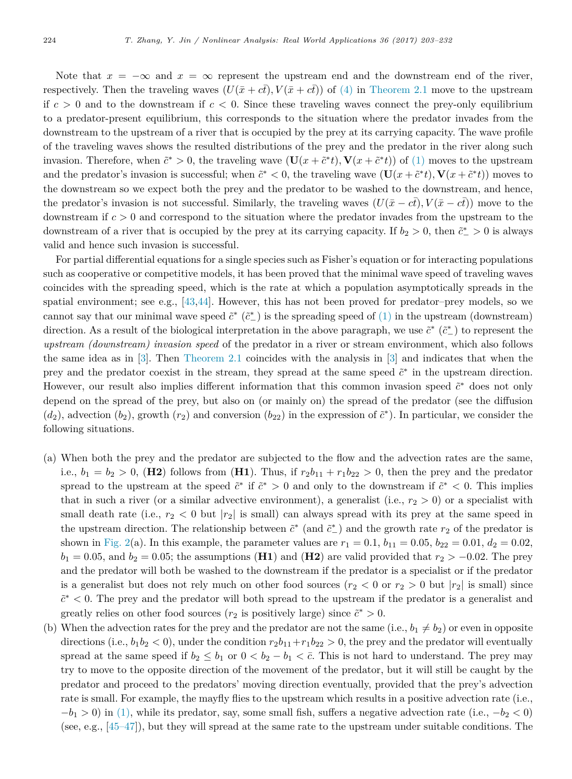Note that  $x = -\infty$  and  $x = \infty$  represent the upstream end and the downstream end of the river, respectively. Then the traveling waves  $(U(\bar{x} + c\bar{t}), V(\bar{x} + c\bar{t}))$  of [\(4\)](#page-3-0) in [Theorem 2.1](#page-3-1) move to the upstream if  $c > 0$  and to the downstream if  $c < 0$ . Since these traveling waves connect the prey-only equilibrium to a predator-present equilibrium, this corresponds to the situation where the predator invades from the downstream to the upstream of a river that is occupied by the prey at its carrying capacity. The wave profile of the traveling waves shows the resulted distributions of the prey and the predator in the river along such invasion. Therefore, when  $\tilde{c}^* > 0$ , the traveling wave  $(\mathbf{U}(x + \tilde{c}^*t), \mathbf{V}(x + \tilde{c}^*t))$  of [\(1\)](#page-1-0) moves to the upstream and the predator's invasion is successful; when  $\tilde{c}^* < 0$ , the traveling wave  $(\mathbf{U}(x + \tilde{c}^*t), \mathbf{V}(x + \tilde{c}^*t))$  moves to the downstream so we expect both the prey and the predator to be washed to the downstream, and hence, the predator's invasion is not successful. Similarly, the traveling waves  $(U(\bar{x} - c\bar{t}), V(\bar{x} - c\bar{t}))$  move to the downstream if *c >* 0 and correspond to the situation where the predator invades from the upstream to the downstream of a river that is occupied by the prey at its carrying capacity. If  $b_2 > 0$ , then  $\tilde{c}_-^* > 0$  is always valid and hence such invasion is successful.

For partial differential equations for a single species such as Fisher's equation or for interacting populations such as cooperative or competitive models, it has been proved that the minimal wave speed of traveling waves coincides with the spreading speed, which is the rate at which a population asymptotically spreads in the spatial environment; see e.g.,  $[43,44]$  $[43,44]$ . However, this has not been proved for predator–prey models, so we cannot say that our minimal wave speed  $\tilde{c}^*$  ( $\tilde{c}^*$ ) is the spreading speed of [\(1\)](#page-1-0) in the upstream (downstream) direction. As a result of the biological interpretation in the above paragraph, we use  $\tilde{c}^*$  ( $\tilde{c}^*$ ) to represent the *upstream (downstream) invasion speed* of the predator in a river or stream environment, which also follows the same idea as in [\[3\]](#page-27-1). Then [Theorem 2.1](#page-3-1) coincides with the analysis in [\[3\]](#page-27-1) and indicates that when the prey and the predator coexist in the stream, they spread at the same speed  $\tilde{c}^*$  in the upstream direction. However, our result also implies different information that this common invasion speed  $\tilde{c}^*$  does not only depend on the spread of the prey, but also on (or mainly on) the spread of the predator (see the diffusion  $(d_2)$ , advection  $(b_2)$ , growth  $(r_2)$  and conversion  $(b_{22})$  in the expression of  $\tilde{c}^*$ ). In particular, we consider the following situations.

- (a) When both the prey and the predator are subjected to the flow and the advection rates are the same, i.e.,  $b_1 = b_2 > 0$ , (**H2**) follows from (**H1**). Thus, if  $r_2b_{11} + r_1b_{22} > 0$ , then the prey and the predator spread to the upstream at the speed  $\tilde{c}^*$  if  $\tilde{c}^* > 0$  and only to the downstream if  $\tilde{c}^* < 0$ . This implies that in such a river (or a similar advective environment), a generalist (i.e.,  $r_2 > 0$ ) or a specialist with small death rate (i.e.,  $r_2 < 0$  but  $|r_2|$  is small) can always spread with its prey at the same speed in the upstream direction. The relationship between  $\tilde{c}^*$  (and  $\tilde{c}^*$ ) and the growth rate  $r_2$  of the predator is shown in [Fig. 2\(](#page-22-0)a). In this example, the parameter values are  $r_1 = 0.1$ ,  $b_{11} = 0.05$ ,  $b_{22} = 0.01$ ,  $d_2 = 0.02$ ,  $b_1 = 0.05$ , and  $b_2 = 0.05$ ; the assumptions (**H1**) and (**H2**) are valid provided that  $r_2 > -0.02$ . The prey and the predator will both be washed to the downstream if the predator is a specialist or if the predator is a generalist but does not rely much on other food sources  $(r_2 < 0 \text{ or } r_2 > 0 \text{ but } |r_2|$  is small) since  $\tilde{c}$ <sup>∗</sup> < 0. The prey and the predator will both spread to the upstream if the predator is a generalist and greatly relies on other food sources ( $r_2$  is positively large) since  $\tilde{c}^* > 0$ .
- (b) When the advection rates for the prey and the predator are not the same (i.e.,  $b_1 \neq b_2$ ) or even in opposite directions (i.e.,  $b_1b_2 < 0$ ), under the condition  $r_2b_{11}+r_1b_{22} > 0$ , the prey and the predator will eventually spread at the same speed if  $b_2 \leq b_1$  or  $0 \lt b_2 - b_1 \lt c$ . This is not hard to understand. The prey may try to move to the opposite direction of the movement of the predator, but it will still be caught by the predator and proceed to the predators' moving direction eventually, provided that the prey's advection rate is small. For example, the mayfly flies to the upstream which results in a positive advection rate (i.e.,  $-b_1 > 0$  in [\(1\),](#page-1-0) while its predator, say, some small fish, suffers a negative advection rate (i.e.,  $-b_2 < 0$ ) (see, e.g., [\[45–47\]](#page-29-4)), but they will spread at the same rate to the upstream under suitable conditions. The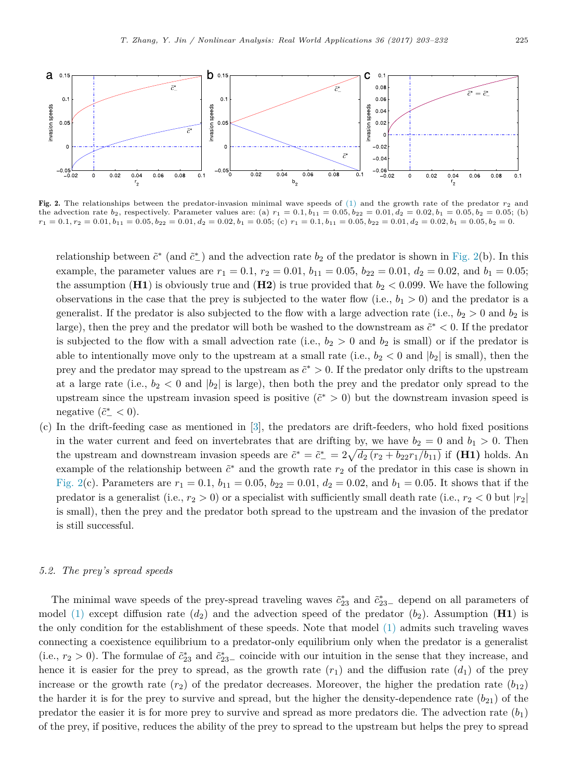<span id="page-22-0"></span>

Fig. 2. The relationships between the predator-invasion minimal wave speeds of [\(1\)](#page-1-0) and the growth rate of the predator  $r_2$  and the advection rate  $b_2$ , respectively. Parameter values are: (a)  $r_1 = 0.1, b_{11} = 0.05, b_{22} = 0.01, d_2 = 0.02, b_1 = 0.05, b_2 = 0.05$ ; (b)  $r_1 = 0.1, r_2 = 0.01, b_{11} = 0.05, b_{22} = 0.01, d_2 = 0.02, b_1 = 0.05;$  (c)  $r_1 = 0.1, b_{11} = 0.05, b_{22} = 0.01, d_2 = 0.02, b_1 = 0.05, b_2 = 0.02$ 

relationship between  $\tilde{c}^*$  (and  $\tilde{c}^*$ ) and the advection rate  $b_2$  of the predator is shown in [Fig. 2\(](#page-22-0)b). In this example, the parameter values are  $r_1 = 0.1$ ,  $r_2 = 0.01$ ,  $b_{11} = 0.05$ ,  $b_{22} = 0.01$ ,  $d_2 = 0.02$ , and  $b_1 = 0.05$ ; the assumption (**H1**) is obviously true and (**H2**) is true provided that  $b_2 < 0.099$ . We have the following observations in the case that the prey is subjected to the water flow (i.e.,  $b_1 > 0$ ) and the predator is a generalist. If the predator is also subjected to the flow with a large advection rate (i.e.,  $b_2 > 0$  and  $b_2$  is large), then the prey and the predator will both be washed to the downstream as  $\tilde{c}^* < 0$ . If the predator is subjected to the flow with a small advection rate (i.e.,  $b_2 > 0$  and  $b_2$  is small) or if the predator is able to intentionally move only to the upstream at a small rate (i.e.,  $b_2 < 0$  and  $|b_2|$  is small), then the prey and the predator may spread to the upstream as  $\tilde{c}^* > 0$ . If the predator only drifts to the upstream at a large rate (i.e.,  $b_2 < 0$  and  $|b_2|$  is large), then both the prey and the predator only spread to the upstream since the upstream invasion speed is positive  $(\tilde{c}^* > 0)$  but the downstream invasion speed is negative  $(\tilde{c}^*_{-} < 0)$ .

(c) In the drift-feeding case as mentioned in [\[3\]](#page-27-1), the predators are drift-feeders, who hold fixed positions in the water current and feed on invertebrates that are drifting by, we have  $b_2 = 0$  and  $b_1 > 0$ . Then the upstream and downstream invasion speeds are  $\tilde{c}^* = \tilde{c}^* = 2\sqrt{d_2(r_2 + b_{22}r_1/b_{11})}$  if **(H1)** holds. An example of the relationship between  $\tilde{c}^*$  and the growth rate  $r_2$  of the predator in this case is shown in [Fig. 2\(](#page-22-0)c). Parameters are  $r_1 = 0.1$ ,  $b_{11} = 0.05$ ,  $b_{22} = 0.01$ ,  $d_2 = 0.02$ , and  $b_1 = 0.05$ . It shows that if the predator is a generalist (i.e.,  $r_2 > 0$ ) or a specialist with sufficiently small death rate (i.e.,  $r_2 < 0$  but  $|r_2|$ is small), then the prey and the predator both spread to the upstream and the invasion of the predator is still successful.

#### *5.2. The prey's spread speeds*

The minimal wave speeds of the prey-spread traveling waves  $\tilde{c}_{23}^*$  and  $\tilde{c}_{23-}^*$  depend on all parameters of model [\(1\)](#page-1-0) except diffusion rate  $(d_2)$  and the advection speed of the predator  $(b_2)$ . Assumption (**H1**) is the only condition for the establishment of these speeds. Note that model [\(1\)](#page-1-0) admits such traveling waves connecting a coexistence equilibrium to a predator-only equilibrium only when the predator is a generalist (i.e.,  $r_2 > 0$ ). The formulae of  $\tilde{c}_{23}^*$  and  $\tilde{c}_{23-}^*$  coincide with our intuition in the sense that they increase, and hence it is easier for the prey to spread, as the growth rate  $(r_1)$  and the diffusion rate  $(d_1)$  of the prey increase or the growth rate  $(r_2)$  of the predator decreases. Moreover, the higher the predation rate  $(b_{12})$ the harder it is for the prey to survive and spread, but the higher the density-dependence rate  $(b_{21})$  of the predator the easier it is for more prey to survive and spread as more predators die. The advection rate  $(b_1)$ of the prey, if positive, reduces the ability of the prey to spread to the upstream but helps the prey to spread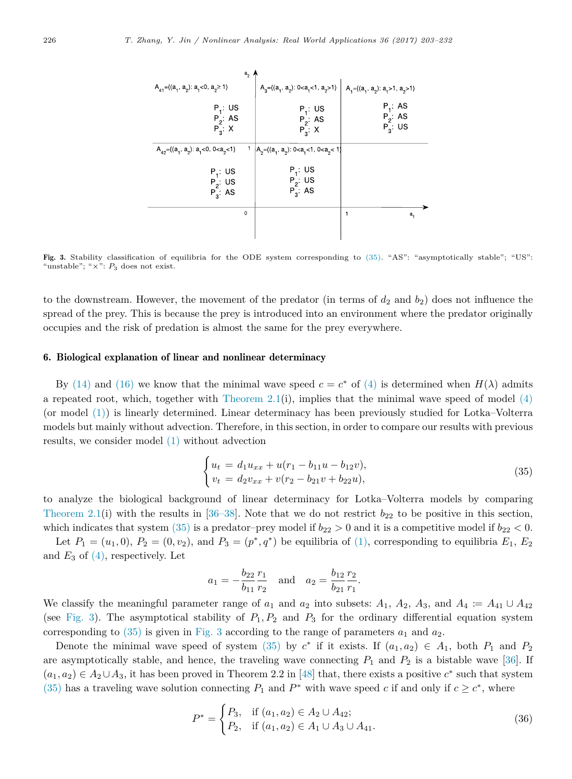<span id="page-23-2"></span>

| $a2$ $\prime$                                                                              |                                                  |                                          |
|--------------------------------------------------------------------------------------------|--------------------------------------------------|------------------------------------------|
| $A_{41} = \{(a_1, a_2): a_1 < 0, a_2 \ge 1\}$                                              | $A_3 = \{(a_1, a_2): 0 < a_1 < 1, a_2 > 1\}$     | $A_1 = \{(a_1, a_2): a_1 > 1, a_2 > 1\}$ |
| $P_1:US$<br>$P_2$ : AS<br>$P_3$ : X                                                        | $P_1:US$<br>$P_2$ AS<br>$P_3$ X                  | $P_1$ : AS<br>$P_2$ : AS<br>$P_3$ : US   |
| $A_{42}$ ={(a <sub>1</sub> , a <sub>2</sub> ): a <sub>1</sub> <0, 0 <a<sub>2&lt;1}</a<sub> | $A_2 = \{(a_1, a_2): 0 < a_1 < 1, 0 < a_2 < 1\}$ |                                          |
| $P_1: US$<br>$P_2$ : US<br>$P_3$ : AS                                                      | $P_1: US$<br>$P_2$ : US<br>$P_3$ : AS            |                                          |
| 0                                                                                          |                                                  | a,                                       |
|                                                                                            |                                                  |                                          |

Fig. 3. Stability classification of equilibria for the ODE system corresponding to [\(35\).](#page-23-1) "AS": "asymptotically stable"; "US": "unstable"; " $\times$ ":  $P_3$  does not exist.

to the downstream. However, the movement of the predator (in terms of  $d_2$  and  $b_2$ ) does not influence the spread of the prey. This is because the prey is introduced into an environment where the predator originally occupies and the risk of predation is almost the same for the prey everywhere.

## <span id="page-23-0"></span>6. Biological explanation of linear and nonlinear determinacy

By [\(14\)](#page-5-3) and [\(16\)](#page-6-3) we know that the minimal wave speed  $c = c^*$  of [\(4\)](#page-3-0) is determined when  $H(\lambda)$  admits a repeated root, which, together with [Theorem 2.1\(](#page-3-1)i), implies that the minimal wave speed of model  $(4)$ (or model [\(1\)\)](#page-1-0) is linearly determined. Linear determinacy has been previously studied for Lotka–Volterra models but mainly without advection. Therefore, in this section, in order to compare our results with previous results, we consider model [\(1\)](#page-1-0) without advection

<span id="page-23-1"></span>
$$
\begin{cases} u_t = d_1 u_{xx} + u(r_1 - b_{11}u - b_{12}v), \\ v_t = d_2 v_{xx} + v(r_2 - b_{21}v + b_{22}u), \end{cases}
$$
 (35)

to analyze the biological background of linear determinacy for Lotka–Volterra models by comparing [Theorem 2.1\(](#page-3-1)i) with the results in [\[36–38\]](#page-28-17). Note that we do not restrict  $b_{22}$  to be positive in this section, which indicates that system  $(35)$  is a predator–prey model if  $b_{22} > 0$  and it is a competitive model if  $b_{22} < 0$ .

Let  $P_1 = (u_1, 0), P_2 = (0, v_2),$  and  $P_3 = (p^*, q^*)$  be equilibria of [\(1\),](#page-1-0) corresponding to equilibria  $E_1, E_2$ and  $E_3$  of  $(4)$ , respectively. Let

$$
a_1 = -\frac{b_{22}}{b_{11}} \frac{r_1}{r_2}
$$
 and  $a_2 = \frac{b_{12}}{b_{21}} \frac{r_2}{r_1}$ .

We classify the meaningful parameter range of  $a_1$  and  $a_2$  into subsets:  $A_1$ ,  $A_2$ ,  $A_3$ , and  $A_4 := A_{41} \cup A_{42}$ (see [Fig. 3\)](#page-23-2). The asymptotical stability of  $P_1, P_2$  and  $P_3$  for the ordinary differential equation system corresponding to  $(35)$  is given in [Fig. 3](#page-23-2) according to the range of parameters  $a_1$  and  $a_2$ .

Denote the minimal wave speed of system [\(35\)](#page-23-1) by  $c^*$  if it exists. If  $(a_1, a_2) \in A_1$ , both  $P_1$  and  $P_2$ are asymptotically stable, and hence, the traveling wave connecting  $P_1$  and  $P_2$  is a bistable wave [\[36\]](#page-28-17). If  $(a_1, a_2) \in A_2 \cup A_3$ , it has been proved in Theorem 2.2 in [\[48\]](#page-29-5) that, there exists a positive  $c^*$  such that system [\(35\)](#page-23-1) has a traveling wave solution connecting  $P_1$  and  $P^*$  with wave speed *c* if and only if  $c \geq c^*$ , where

<span id="page-23-3"></span>
$$
P^* = \begin{cases} P_3, & \text{if } (a_1, a_2) \in A_2 \cup A_{42}; \\ P_2, & \text{if } (a_1, a_2) \in A_1 \cup A_3 \cup A_{41}. \end{cases}
$$
 (36)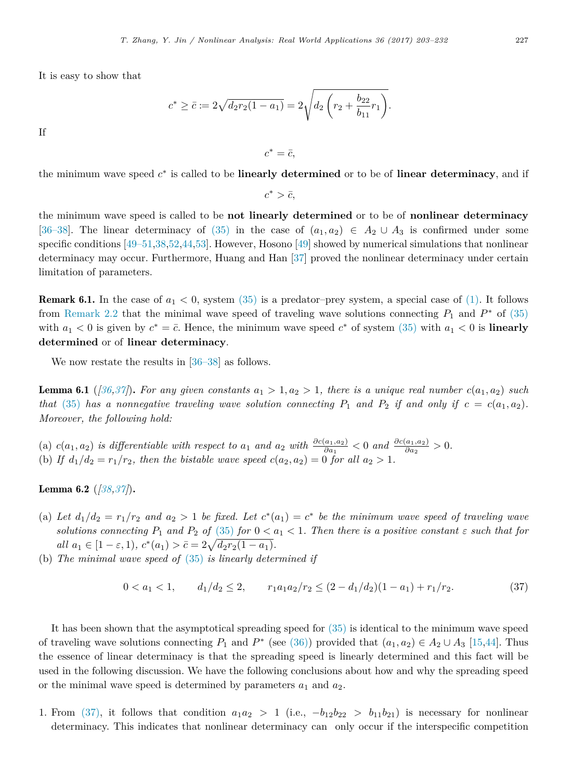It is easy to show that

If

 $c^* \geq \bar{c} := 2\sqrt{d_2r_2(1-a_1)} = 2\sqrt{d_2\left(r_2+\frac{b_{22}}{b_1}\right)}$  $rac{b_{22}}{b_{11}}$  $r_1$ .

the minimum wave speed *c* ∗ is called to be **linearly determined** or to be of **linear determinacy**, and if

 $c^* = \bar{c}$ ,

 $c^* > \bar{c}$ ,

the minimum wave speed is called to be **not linearly determined** or to be of **nonlinear determinacy** [\[36–38\]](#page-28-17). The linear determinacy of [\(35\)](#page-23-1) in the case of  $(a_1, a_2) \in A_2 \cup A_3$  is confirmed under some specific conditions [\[49–51](#page-29-6)[,38,](#page-28-20)[52,](#page-29-7)[44](#page-29-3)[,53\]](#page-29-8). However, Hosono [\[49\]](#page-29-6) showed by numerical simulations that nonlinear determinacy may occur. Furthermore, Huang and Han [\[37\]](#page-28-21) proved the nonlinear determinacy under certain limitation of parameters.

<span id="page-24-2"></span>**Remark 6.1.** In the case of  $a_1 < 0$ , system [\(35\)](#page-23-1) is a predator-prey system, a special case of [\(1\).](#page-1-0) It follows from [Remark 2.2](#page-4-3) that the minimal wave speed of traveling wave solutions connecting  $P_1$  and  $P^*$  of [\(35\)](#page-23-1) with  $a_1 < 0$  is given by  $c^* = \overline{c}$ . Hence, the minimum wave speed  $c^*$  of system [\(35\)](#page-23-1) with  $a_1 < 0$  is **linearly determined** or of **linear determinacy**.

<span id="page-24-1"></span>We now restate the results in  $[36-38]$  as follows.

**Lemma 6.1** ([\[36](#page-28-17)[,37\]](#page-28-21)). For any given constants  $a_1 > 1, a_2 > 1$ , there is a unique real number  $c(a_1, a_2)$  such *that* [\(35\)](#page-23-1) *has a nonnegative traveling wave solution connecting*  $P_1$  *and*  $P_2$  *if and only if*  $c = c(a_1, a_2)$ *. Moreover, the following hold:*

(a)  $c(a_1, a_2)$  is differentiable with respect to  $a_1$  and  $a_2$  with  $\frac{\partial c(a_1, a_2)}{\partial a_1} < 0$  and  $\frac{\partial c(a_1, a_2)}{\partial a_2} > 0$ . (b) If  $d_1/d_2 = r_1/r_2$ , then the bistable wave speed  $c(a_2, a_2) = 0$  for all  $a_2 > 1$ .

<span id="page-24-3"></span>Lemma 6.2 (*[\[38](#page-28-20)[,37\]](#page-28-21)*)**.**

- (a) Let  $d_1/d_2 = r_1/r_2$  and  $a_2 > 1$  be fixed. Let  $c^*(a_1) = c^*$  be the minimum wave speed of traveling wave *solutions connecting*  $P_1$  *and*  $P_2$  *of* [\(35\)](#page-23-1) *for*  $0 < a_1 < 1$ *. Then there is a positive constant*  $\varepsilon$  *such that for*  $all \ a_1 \in [1 - \varepsilon, 1), \ c^*(a_1) > \bar{c} = 2\sqrt{d_2r_2(1 - a_1)}.$
- (b) *The minimal wave speed of* [\(35\)](#page-23-1) *is linearly determined if*

<span id="page-24-0"></span>
$$
0 < a_1 < 1, \qquad d_1/d_2 \le 2, \qquad r_1 a_1 a_2 / r_2 \le (2 - d_1/d_2)(1 - a_1) + r_1 / r_2. \tag{37}
$$

It has been shown that the asymptotical spreading speed for [\(35\)](#page-23-1) is identical to the minimum wave speed of traveling wave solutions connecting  $P_1$  and  $P^*$  (see [\(36\)\)](#page-23-3) provided that  $(a_1, a_2) \in A_2 \cup A_3$  [\[15](#page-28-1)[,44\]](#page-29-3). Thus the essence of linear determinacy is that the spreading speed is linearly determined and this fact will be used in the following discussion. We have the following conclusions about how and why the spreading speed or the minimal wave speed is determined by parameters  $a_1$  and  $a_2$ .

1. From [\(37\),](#page-24-0) it follows that condition  $a_1a_2 > 1$  (i.e.,  $-b_{12}b_{22} > b_{11}b_{21}$ ) is necessary for nonlinear determinacy. This indicates that nonlinear determinacy can only occur if the interspecific competition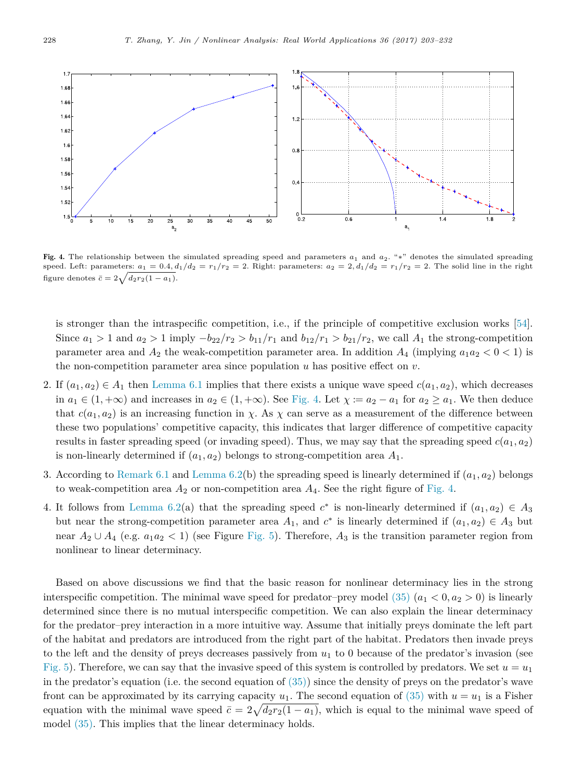<span id="page-25-0"></span>

Fig. 4. The relationship between the simulated spreading speed and parameters *a*<sup>1</sup> and *a*2. "∗" denotes the simulated spreading speed. Left: parameters:  $a_1 = 0.4$ ,  $d_1/d_2 = r_1/r_2 = 2$ . Right: parameters:  $a_2 = 2$ ,  $d_1/d_2 = r_1/r_2 = 2$ . The solid line in the right figure denotes  $\bar{c} = 2\sqrt{d_2r_2(1-a_1)}$ .

is stronger than the intraspecific competition, i.e., if the principle of competitive exclusion works [\[54\]](#page-29-9). Since  $a_1 > 1$  and  $a_2 > 1$  imply  $-b_{22}/r_2 > b_{11}/r_1$  and  $b_{12}/r_1 > b_{21}/r_2$ , we call  $A_1$  the strong-competition parameter area and  $A_2$  the weak-competition parameter area. In addition  $A_4$  (implying  $a_1a_2 < 0 < 1$ ) is the non-competition parameter area since population *u* has positive effect on *v*.

- 2. If  $(a_1, a_2) \in A_1$  then [Lemma 6.1](#page-24-1) implies that there exists a unique wave speed  $c(a_1, a_2)$ , which decreases in  $a_1 \in (1, +\infty)$  and increases in  $a_2 \in (1, +\infty)$ . See [Fig. 4.](#page-25-0) Let  $\chi := a_2 - a_1$  for  $a_2 \ge a_1$ . We then deduce that  $c(a_1, a_2)$  is an increasing function in *χ*. As *χ* can serve as a measurement of the difference between these two populations' competitive capacity, this indicates that larger difference of competitive capacity results in faster spreading speed (or invading speed). Thus, we may say that the spreading speed  $c(a_1, a_2)$ is non-linearly determined if  $(a_1, a_2)$  belongs to strong-competition area  $A_1$ .
- 3. According to [Remark 6.1](#page-24-2) and [Lemma 6.2\(](#page-24-3)b) the spreading speed is linearly determined if  $(a_1, a_2)$  belongs to weak-competition area  $A_2$  or non-competition area  $A_4$ . See the right figure of [Fig. 4.](#page-25-0)
- 4. It follows from [Lemma 6.2\(](#page-24-3)a) that the spreading speed  $c^*$  is non-linearly determined if  $(a_1, a_2) \in A_3$ but near the strong-competition parameter area  $A_1$ , and  $c^*$  is linearly determined if  $(a_1, a_2) \in A_3$  but near  $A_2 \cup A_4$  (e.g.  $a_1a_2 < 1$ ) (see Figure [Fig. 5\)](#page-26-1). Therefore,  $A_3$  is the transition parameter region from nonlinear to linear determinacy.

Based on above discussions we find that the basic reason for nonlinear determinacy lies in the strong interspecific competition. The minimal wave speed for predator–prey model  $(35)$   $(a_1 < 0, a_2 > 0)$  is linearly determined since there is no mutual interspecific competition. We can also explain the linear determinacy for the predator–prey interaction in a more intuitive way. Assume that initially preys dominate the left part of the habitat and predators are introduced from the right part of the habitat. Predators then invade preys to the left and the density of preys decreases passively from *u*<sup>1</sup> to 0 because of the predator's invasion (see [Fig. 5\)](#page-26-1). Therefore, we can say that the invasive speed of this system is controlled by predators. We set  $u = u_1$ in the predator's equation (i.e. the second equation of  $(35)$ ) since the density of preys on the predator's wave front can be approximated by its carrying capacity  $u_1$ . The second equation of [\(35\)](#page-23-1) with  $u = u_1$  is a Fisher equation with the minimal wave speed  $\bar{c} = 2\sqrt{d_2r_2(1-a_1)}$ , which is equal to the minimal wave speed of model [\(35\).](#page-23-1) This implies that the linear determinacy holds.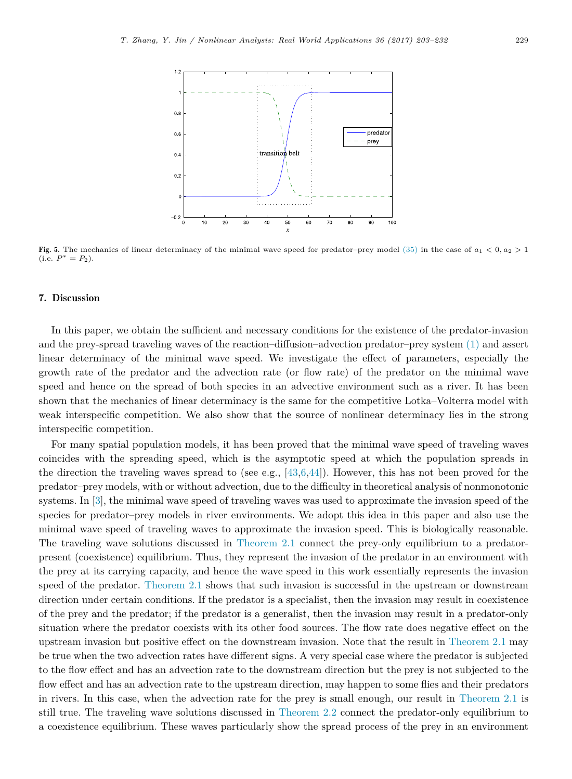<span id="page-26-1"></span>

Fig. 5. The mechanics of linear determinacy of the minimal wave speed for predator–prey model [\(35\)](#page-23-1) in the case of *a*<sup>1</sup> *<* 0*, a*<sup>2</sup> *>* 1  $(i.e. P^* = P_2).$ 

## <span id="page-26-0"></span>7. Discussion

In this paper, we obtain the sufficient and necessary conditions for the existence of the predator-invasion and the prey-spread traveling waves of the reaction–diffusion–advection predator–prey system [\(1\)](#page-1-0) and assert linear determinacy of the minimal wave speed. We investigate the effect of parameters, especially the growth rate of the predator and the advection rate (or flow rate) of the predator on the minimal wave speed and hence on the spread of both species in an advective environment such as a river. It has been shown that the mechanics of linear determinacy is the same for the competitive Lotka–Volterra model with weak interspecific competition. We also show that the source of nonlinear determinacy lies in the strong interspecific competition.

For many spatial population models, it has been proved that the minimal wave speed of traveling waves coincides with the spreading speed, which is the asymptotic speed at which the population spreads in the direction the traveling waves spread to (see e.g.,  $[43,6,44]$  $[43,6,44]$  $[43,6,44]$ ). However, this has not been proved for the predator–prey models, with or without advection, due to the difficulty in theoretical analysis of nonmonotonic systems. In [\[3\]](#page-27-1), the minimal wave speed of traveling waves was used to approximate the invasion speed of the species for predator–prey models in river environments. We adopt this idea in this paper and also use the minimal wave speed of traveling waves to approximate the invasion speed. This is biologically reasonable. The traveling wave solutions discussed in [Theorem 2.1](#page-3-1) connect the prey-only equilibrium to a predatorpresent (coexistence) equilibrium. Thus, they represent the invasion of the predator in an environment with the prey at its carrying capacity, and hence the wave speed in this work essentially represents the invasion speed of the predator. [Theorem 2.1](#page-3-1) shows that such invasion is successful in the upstream or downstream direction under certain conditions. If the predator is a specialist, then the invasion may result in coexistence of the prey and the predator; if the predator is a generalist, then the invasion may result in a predator-only situation where the predator coexists with its other food sources. The flow rate does negative effect on the upstream invasion but positive effect on the downstream invasion. Note that the result in [Theorem 2.1](#page-3-1) may be true when the two advection rates have different signs. A very special case where the predator is subjected to the flow effect and has an advection rate to the downstream direction but the prey is not subjected to the flow effect and has an advection rate to the upstream direction, may happen to some flies and their predators in rivers. In this case, when the advection rate for the prey is small enough, our result in [Theorem 2.1](#page-3-1) is still true. The traveling wave solutions discussed in [Theorem 2.2](#page-4-0) connect the predator-only equilibrium to a coexistence equilibrium. These waves particularly show the spread process of the prey in an environment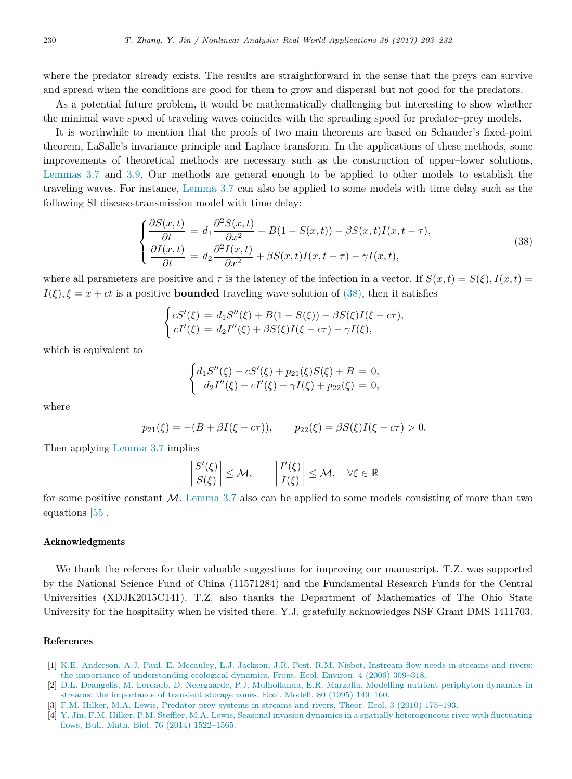where the predator already exists. The results are straightforward in the sense that the preys can survive and spread when the conditions are good for them to grow and dispersal but not good for the predators.

As a potential future problem, it would be mathematically challenging but interesting to show whether the minimal wave speed of traveling waves coincides with the spreading speed for predator–prey models.

It is worthwhile to mention that the proofs of two main theorems are based on Schauder's fixed-point theorem, LaSalle's invariance principle and Laplace transform. In the applications of these methods, some improvements of theoretical methods are necessary such as the construction of upper–lower solutions, [Lemmas 3.7](#page-11-0) and [3.9.](#page-13-0) Our methods are general enough to be applied to other models to establish the traveling waves. For instance, [Lemma 3.7](#page-11-0) can also be applied to some models with time delay such as the following SI disease-transmission model with time delay:

$$
\begin{cases}\n\frac{\partial S(x,t)}{\partial t} = d_1 \frac{\partial^2 S(x,t)}{\partial x^2} + B(1 - S(x,t)) - \beta S(x,t)I(x,t-\tau),\\
\frac{\partial I(x,t)}{\partial t} = d_2 \frac{\partial^2 I(x,t)}{\partial x^2} + \beta S(x,t)I(x,t-\tau) - \gamma I(x,t),\n\end{cases} (38)
$$

where all parameters are positive and  $\tau$  is the latency of the infection in a vector. If  $S(x,t) = S(\xi)$ ,  $I(x,t) =$  $I(\xi)$ ,  $\xi = x + ct$  is a positive **bounded** traveling wave solution of [\(38\),](#page-27-2) then it satisfies

$$
\begin{cases} cS'(\xi) = d_1S''(\xi) + B(1 - S(\xi)) - \beta S(\xi)I(\xi - c\tau), \\ cI'(\xi) = d_2I''(\xi) + \beta S(\xi)I(\xi - c\tau) - \gamma I(\xi), \end{cases}
$$

which is equivalent to

<span id="page-27-2"></span>
$$
\begin{cases} d_1S''(\xi) - cS'(\xi) + p_{21}(\xi)S(\xi) + B = 0, \\ d_2I''(\xi) - cI'(\xi) - \gamma I(\xi) + p_{22}(\xi) = 0, \end{cases}
$$

where

$$
p_{21}(\xi) = -(B + \beta I(\xi - c\tau)), \qquad p_{22}(\xi) = \beta S(\xi)I(\xi - c\tau) > 0.
$$

Then applying [Lemma 3.7](#page-11-0) implies

$$
\left|\frac{S'(\xi)}{S(\xi)}\right| \le \mathcal{M}, \qquad \left|\frac{I'(\xi)}{I(\xi)}\right| \le \mathcal{M}, \quad \forall \xi \in \mathbb{R}
$$

for some positive constant  $M$ . [Lemma 3.7](#page-11-0) also can be applied to some models consisting of more than two equations [\[55\]](#page-29-10).

## Acknowledgments

We thank the referees for their valuable suggestions for improving our manuscript. T.Z. was supported by the National Science Fund of China (11571284) and the Fundamental Research Funds for the Central Universities (XDJK2015C141). T.Z. also thanks the Department of Mathematics of The Ohio State University for the hospitality when he visited there. Y.J. gratefully acknowledges NSF Grant DMS 1411703.

## References

- <span id="page-27-0"></span>[1] K.[E. Anderson, A.J. Paul, E. Mccauley, L.J. Jackson, J.R. Post, R.M. Nisbet, Instream flow needs in streams and rivers:](http://refhub.elsevier.com/S1468-1218(17)30019-6/sbref1) the importance of understanding ecological dynamics, Front. Ecol. Environ. 4 (2006) 309–318.
- [2] D.[L. Deangelis, M. Loreaub, D. Neergaardc, P.J. Mulhollanda, E.R. Marzolfa, Modelling nutrient-periphyton dynamics in](http://refhub.elsevier.com/S1468-1218(17)30019-6/sbref2) streams: the importance of transient storage zones, Ecol. Modell. 80 (1995) 149–160.
- <span id="page-27-1"></span>[3] F.[M. Hilker, M.A. Lewis, Predator-prey systems in streams and rivers, Theor. Ecol. 3 \(2010\) 175–193.](http://refhub.elsevier.com/S1468-1218(17)30019-6/sbref3)
- [4] Y. [Jin, F.M. Hilker, P.M. Steffler, M.A. Lewis, Seasonal invasion dynamics in a spatially heterogeneous river with fluctuating](http://refhub.elsevier.com/S1468-1218(17)30019-6/sbref4) flows, Bull. Math. Biol. 76 (2014) 1522–1565.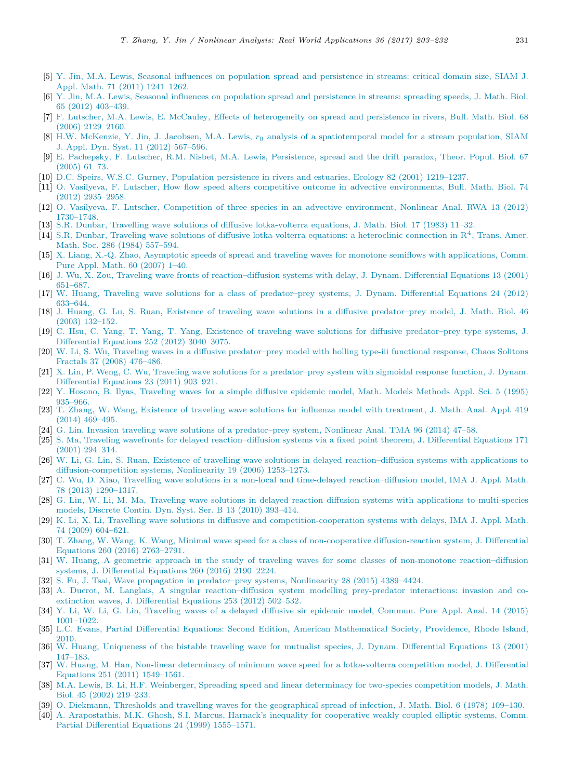- [5] Y. [Jin, M.A. Lewis, Seasonal influences on population spread and persistence in streams: critical domain size, SIAM J.](http://refhub.elsevier.com/S1468-1218(17)30019-6/sbref5) Appl. Math. 71 (2011) 1241–1262.
- <span id="page-28-22"></span>[6] Y. [Jin, M.A. Lewis, Seasonal influences on population spread and persistence in streams: spreading speeds, J. Math. Biol.](http://refhub.elsevier.com/S1468-1218(17)30019-6/sbref6) 65 (2012) 403–439.
- [7] F. [Lutscher, M.A. Lewis, E. McCauley, Effects of heterogeneity on spread and persistence in rivers, Bull. Math. Biol. 68](http://refhub.elsevier.com/S1468-1218(17)30019-6/sbref7) (2006) 2129–2160.
- [8] H.W. McKenzie, Y. Jin, J. Jacobsen, M.A. Lewis, *r*<sup>0</sup> [analysis of a spatiotemporal model for a stream population, SIAM](http://refhub.elsevier.com/S1468-1218(17)30019-6/sbref8) J. Appl. Dyn. Syst. 11 (2012) 567–596.
- [9] E. [Pachepsky, F. Lutscher, R.M. Nisbet, M.A. Lewis, Persistence, spread and the drift paradox, Theor. Popul. Biol. 67](http://refhub.elsevier.com/S1468-1218(17)30019-6/sbref9) (2005) 61–73.
- [10] D.[C. Speirs, W.S.C. Gurney, Population persistence in rivers and estuaries, Ecology 82 \(2001\) 1219–1237.](http://refhub.elsevier.com/S1468-1218(17)30019-6/sbref10)
- [11] O. [Vasilyeva, F. Lutscher, How flow speed alters competitive outcome in advective environments, Bull. Math. Biol. 74](http://refhub.elsevier.com/S1468-1218(17)30019-6/sbref11) (2012) 2935–2958.
- [12] O. [Vasilyeva, F. Lutscher, Competition of three species in an advective environment, Nonlinear Anal. RWA 13 \(2012\)](http://refhub.elsevier.com/S1468-1218(17)30019-6/sbref12) 1730–1748.
- <span id="page-28-0"></span>[13] S.[R. Dunbar, Travelling wave solutions of diffusive lotka-volterra equations, J. Math. Biol. 17 \(1983\) 11–32.](http://refhub.elsevier.com/S1468-1218(17)30019-6/sbref13)
- <span id="page-28-3"></span>[14] S.[R. Dunbar, Traveling wave solutions of diffusive lotka-volterra equations: a heteroclinic connection in R](http://refhub.elsevier.com/S1468-1218(17)30019-6/sbref14)<sup>4</sup> , Trans. Amer. Math. Soc. 286 (1984) 557–594.
- <span id="page-28-1"></span>[15] X. [Liang, X.-Q. Zhao, Asymptotic speeds of spread and traveling waves for monotone semiflows with applications, Comm.](http://refhub.elsevier.com/S1468-1218(17)30019-6/sbref15) Pure Appl. Math. 60 (2007) 1–40.
- <span id="page-28-2"></span>[16] J. [Wu, X. Zou, Traveling wave fronts of reaction–diffusion systems with delay, J. Dynam. Differential Equations 13 \(2001\)](http://refhub.elsevier.com/S1468-1218(17)30019-6/sbref16) 651–687.
- <span id="page-28-4"></span>[17] W[. Huang, Traveling wave solutions for a class of predator–prey systems, J. Dynam. Differential Equations 24 \(2012\)](http://refhub.elsevier.com/S1468-1218(17)30019-6/sbref17) 633–644.
- <span id="page-28-5"></span>[18] J. [Huang, G. Lu, S. Ruan, Existence of traveling wave solutions in a diffusive predator–prey model, J. Math. Biol. 46](http://refhub.elsevier.com/S1468-1218(17)30019-6/sbref18) (2003) 132–152.
- <span id="page-28-11"></span>[19] C. [Hsu, C. Yang, T. Yang, T. Yang, Existence of traveling wave solutions for diffusive predator–prey type systems, J.](http://refhub.elsevier.com/S1468-1218(17)30019-6/sbref19) Differential Equations 252 (2012) 3040–3075.
- <span id="page-28-13"></span>[20] W[. Li, S. Wu, Traveling waves in a diffusive predator–prey model with holling type-iii functional response, Chaos Solitons](http://refhub.elsevier.com/S1468-1218(17)30019-6/sbref20) Fractals 37 (2008) 476–486.
- <span id="page-28-12"></span>[21] X. [Lin, P. Weng, C. Wu, Traveling wave solutions for a predator–prey system with sigmoidal response function, J. Dynam.](http://refhub.elsevier.com/S1468-1218(17)30019-6/sbref21) Differential Equations 23 (2011) 903–921.
- [22] Y. [Hosono, B. Ilyas, Traveling waves for a simple diffusive epidemic model, Math. Models Methods Appl. Sci. 5 \(1995\)](http://refhub.elsevier.com/S1468-1218(17)30019-6/sbref22) 935–966.
- <span id="page-28-6"></span>[23] T. [Zhang, W. Wang, Existence of traveling wave solutions for influenza model with treatment, J. Math. Anal. Appl. 419](http://refhub.elsevier.com/S1468-1218(17)30019-6/sbref23) (2014) 469–495.
- <span id="page-28-16"></span>[24] G. [Lin, Invasion traveling wave solutions of a predator–prey system, Nonlinear Anal. TMA 96 \(2014\) 47–58.](http://refhub.elsevier.com/S1468-1218(17)30019-6/sbref24)
- [25] S. [Ma, Traveling wavefronts for delayed reaction–diffusion systems via a fixed point theorem, J. Differential Equations 171](http://refhub.elsevier.com/S1468-1218(17)30019-6/sbref25) (2001) 294–314.
- [26] W[. Li, G. Lin, S. Ruan, Existence of travelling wave solutions in delayed reaction–diffusion systems with applications to](http://refhub.elsevier.com/S1468-1218(17)30019-6/sbref26) diffusion-competition systems, Nonlinearity 19 (2006) 1253–1273.
- [27] C. [Wu, D. Xiao, Travelling wave solutions in a non-local and time-delayed reaction–diffusion model, IMA J. Appl. Math.](http://refhub.elsevier.com/S1468-1218(17)30019-6/sbref27) 78 (2013) 1290–1317.
- [28] G. [Lin, W. Li, M. Ma, Traveling wave solutions in delayed reaction diffusion systems with applications to multi-species](http://refhub.elsevier.com/S1468-1218(17)30019-6/sbref28) models, Discrete Contin. Dyn. Syst. Ser. B 13 (2010) 393–414.
- [29] K. [Li, X. Li, Travelling wave solutions in diffusive and competition-cooperation systems with delays, IMA J. Appl. Math.](http://refhub.elsevier.com/S1468-1218(17)30019-6/sbref29) 74 (2009) 604–621.
- <span id="page-28-8"></span>[30] T. [Zhang, W. Wang, K. Wang, Minimal wave speed for a class of non-cooperative diffusion-reaction system, J. Differential](http://refhub.elsevier.com/S1468-1218(17)30019-6/sbref30) Equations 260 (2016) 2763–2791.
- <span id="page-28-7"></span>[31] W[. Huang, A geometric approach in the study of traveling waves for some classes of non-monotone reaction–diffusion](http://refhub.elsevier.com/S1468-1218(17)30019-6/sbref31) systems, J. Differential Equations 260 (2016) 2190–2224.
- <span id="page-28-9"></span>[32] S. [Fu, J. Tsai, Wave propagation in predator–prey systems, Nonlinearity 28 \(2015\) 4389–4424.](http://refhub.elsevier.com/S1468-1218(17)30019-6/sbref32)
- <span id="page-28-10"></span>[33] A. [Ducrot, M. Langlais, A singular reaction–diffusion system modelling prey-predator interactions: invasion and co](http://refhub.elsevier.com/S1468-1218(17)30019-6/sbref33)extinction waves, J. Differential Equations 253 (2012) 502–532.
- <span id="page-28-14"></span>[34] Y. [Li, W. Li, G. Lin, Traveling waves of a delayed diffusive sir epidemic model, Commun. Pure Appl. Anal. 14 \(2015\)](http://refhub.elsevier.com/S1468-1218(17)30019-6/sbref34) 1001–1022.
- <span id="page-28-15"></span>[35] L.[C. Evans, Partial Differential Equations: Second Edition, American Mathematical Society, Providence, Rhode Island,](http://refhub.elsevier.com/S1468-1218(17)30019-6/sbref35) 2010.
- <span id="page-28-17"></span>[36] W[. Huang, Uniqueness of the bistable traveling wave for mutualist species, J. Dynam. Differential Equations 13 \(2001\)](http://refhub.elsevier.com/S1468-1218(17)30019-6/sbref36) 147–183.
- <span id="page-28-21"></span>[37] W[. Huang, M. Han, Non-linear determinacy of minimum wave speed for a lotka-volterra competition model, J. Differential](http://refhub.elsevier.com/S1468-1218(17)30019-6/sbref37) Equations 251 (2011) 1549–1561.
- <span id="page-28-20"></span>[38] M.[A. Lewis, B. Li, H.F. Weinberger, Spreading speed and linear determinacy for two-species competition models, J. Math.](http://refhub.elsevier.com/S1468-1218(17)30019-6/sbref38) Biol. 45 (2002) 219–233.
- <span id="page-28-18"></span>[39] O. [Diekmann, Thresholds and travelling waves for the geographical spread of infection, J. Math. Biol. 6 \(1978\) 109–130.](http://refhub.elsevier.com/S1468-1218(17)30019-6/sbref39)
- <span id="page-28-19"></span>[40] A. [Arapostathis, M.K. Ghosh, S.I. Marcus, Harnack's inequality for cooperative weakly coupled elliptic systems, Comm.](http://refhub.elsevier.com/S1468-1218(17)30019-6/sbref40) Partial Differential Equations 24 (1999) 1555–1571.